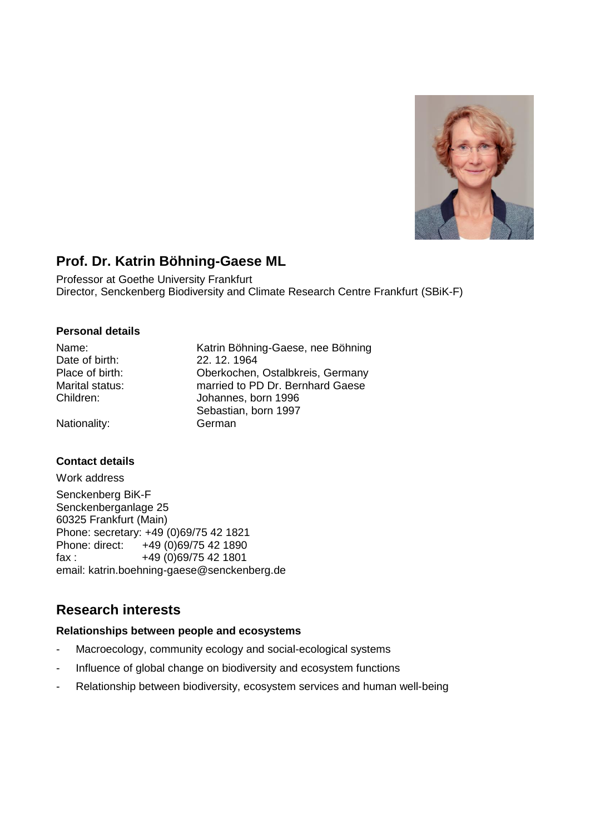

# **Prof. Dr. Katrin Böhning-Gaese ML**

Professor at Goethe University Frankfurt Director, Senckenberg Biodiversity and Climate Research Centre Frankfurt (SBiK-F)

### **Personal details**

| Name:           | Katrin Böhning-Gaese, nee Böhning |
|-----------------|-----------------------------------|
| Date of birth:  | 22, 12, 1964                      |
| Place of birth: | Oberkochen, Ostalbkreis, Germany  |
| Marital status: | married to PD Dr. Bernhard Gaese  |
| Children:       | Johannes, born 1996               |
|                 | Sebastian, born 1997              |
| Nationality:    | German                            |

## **Contact details**

Work address Senckenberg BiK-F Senckenberganlage 25 60325 Frankfurt (Main) Phone: secretary: +49 (0)69/75 42 1821 Phone: direct: +49 (0)69/75 42 1890 fax : +49 (0)69/75 42 1801 email: katrin.boehning-gaese@senckenberg.de

# **Research interests**

## **Relationships between people and ecosystems**

- Macroecology, community ecology and social-ecological systems
- Influence of global change on biodiversity and ecosystem functions
- Relationship between biodiversity, ecosystem services and human well-being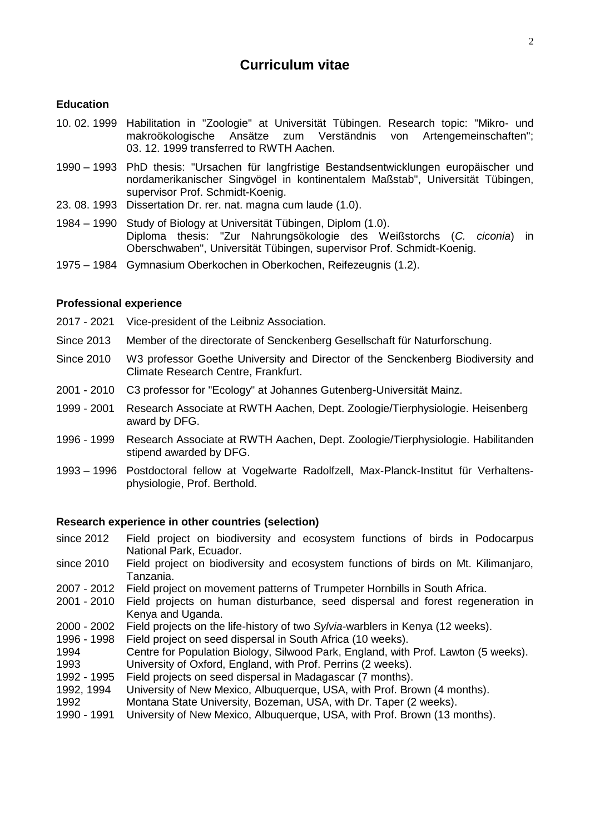## **Curriculum vitae**

#### **Education**

- 10. 02. 1999 Habilitation in "Zoologie" at Universität Tübingen. Research topic: "Mikro- und makroökologische Ansätze zum Verständnis von Artengemeinschaften"; 03. 12. 1999 transferred to RWTH Aachen.
- 1990 1993 PhD thesis: "Ursachen für langfristige Bestandsentwicklungen europäischer und nordamerikanischer Singvögel in kontinentalem Maßstab", Universität Tübingen, supervisor Prof. Schmidt-Koenig.
- 23. 08. 1993 Dissertation Dr. rer. nat. magna cum laude (1.0).
- 1984 1990 Study of Biology at Universität Tübingen, Diplom (1.0). Diploma thesis: "Zur Nahrungsökologie des Weißstorchs (*C. ciconia*) in Oberschwaben", Universität Tübingen, supervisor Prof. Schmidt-Koenig.
- 1975 1984 Gymnasium Oberkochen in Oberkochen, Reifezeugnis (1.2).

#### **Professional experience**

- 2017 2021 Vice-president of the Leibniz Association.
- Since 2013 Member of the directorate of Senckenberg Gesellschaft für Naturforschung.
- Since 2010 W3 professor Goethe University and Director of the Senckenberg Biodiversity and Climate Research Centre, Frankfurt.
- 2001 2010 C3 professor for "Ecology" at Johannes Gutenberg-Universität Mainz.
- 1999 2001 Research Associate at RWTH Aachen, Dept. Zoologie/Tierphysiologie. Heisenberg award by DFG.
- 1996 1999 Research Associate at RWTH Aachen, Dept. Zoologie/Tierphysiologie. Habilitanden stipend awarded by DFG.
- 1993 1996 Postdoctoral fellow at Vogelwarte Radolfzell, Max-Planck-Institut für Verhaltensphysiologie, Prof. Berthold.

#### **Research experience in other countries (selection)**

- since 2012 Field project on biodiversity and ecosystem functions of birds in Podocarpus National Park, Ecuador.
- since 2010 Field project on biodiversity and ecosystem functions of birds on Mt. Kilimanjaro, Tanzania.
- 2007 2012 Field project on movement patterns of Trumpeter Hornbills in South Africa.
- 2001 2010 Field projects on human disturbance, seed dispersal and forest regeneration in Kenya and Uganda.
- 2000 2002 Field projects on the life-history of two *Sylvia*-warblers in Kenya (12 weeks).
- 1996 1998 Field project on seed dispersal in South Africa (10 weeks).
- 1994 Centre for Population Biology, Silwood Park, England, with Prof. Lawton (5 weeks). 1993 University of Oxford, England, with Prof. Perrins (2 weeks).
- 1992 1995 Field projects on seed dispersal in Madagascar (7 months).
- 1992, 1994 University of New Mexico, Albuquerque, USA, with Prof. Brown (4 months).
- 1992 Montana State University, Bozeman, USA, with Dr. Taper (2 weeks).
- 1990 1991 University of New Mexico, Albuquerque, USA, with Prof. Brown (13 months).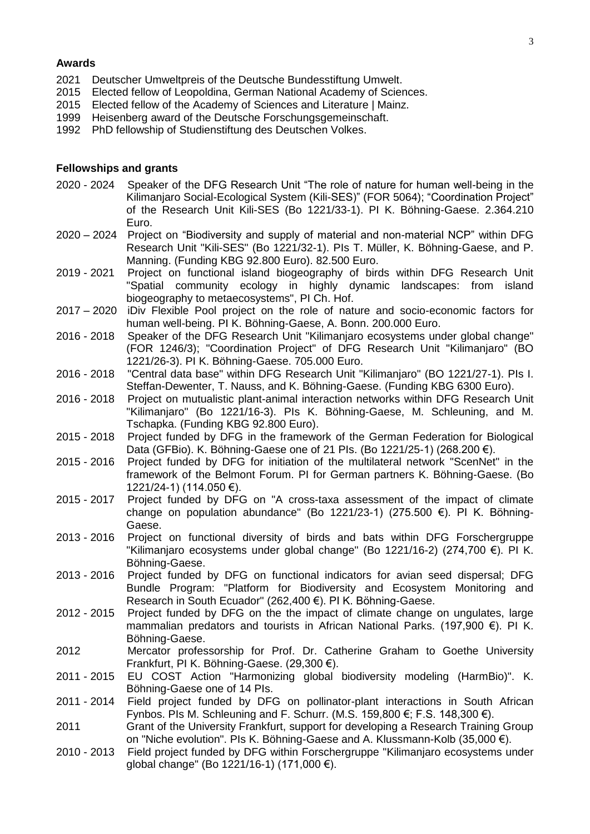#### **Awards**

- 2021 Deutscher Umweltpreis of the Deutsche Bundesstiftung Umwelt.<br>2015 Elected fellow of Leopoldina. German National Academy of Scier
- 2015 Elected fellow of Leopoldina, German National Academy of Sciences.<br>2015 Elected fellow of the Academy of Sciences and Literature | Mainz.
- Elected fellow of the Academy of Sciences and Literature | Mainz.
- 1999 Heisenberg award of the Deutsche Forschungsgemeinschaft.
- 1992 PhD fellowship of Studienstiftung des Deutschen Volkes.

#### **Fellowships and grants**

- 2020 2024 Speaker of the DFG Research Unit "The role of nature for human well-being in the Kilimanjaro Social-Ecological System (Kili-SES)" (FOR 5064); "Coordination Project" of the Research Unit Kili-SES (Bo 1221/33-1). PI K. Böhning-Gaese. 2.364.210 Euro.
- 2020 2024 Project on "Biodiversity and supply of material and non-material NCP" within DFG Research Unit "Kili-SES" (Bo 1221/32-1). PIs T. Müller, K. Böhning-Gaese, and P. Manning. (Funding KBG 92.800 Euro). 82.500 Euro.
- 2019 2021 Project on functional island biogeography of birds within DFG Research Unit "Spatial community ecology in highly dynamic landscapes: from island biogeography to metaecosystems", PI Ch. Hof.
- 2017 2020 iDiv Flexible Pool project on the role of nature and socio-economic factors for human well-being. PI K. Böhning-Gaese, A. Bonn. 200.000 Euro.
- 2016 2018 Speaker of the DFG Research Unit "Kilimanjaro ecosystems under global change" (FOR 1246/3); "Coordination Project" of DFG Research Unit "Kilimanjaro" (BO 1221/26-3). PI K. Böhning-Gaese. 705.000 Euro.
- 2016 2018 "Central data base" within DFG Research Unit "Kilimanjaro" (BO 1221/27-1). PIs I. Steffan-Dewenter, T. Nauss, and K. Böhning-Gaese. (Funding KBG 6300 Euro).
- 2016 2018 Project on mutualistic plant-animal interaction networks within DFG Research Unit "Kilimanjaro" (Bo 1221/16-3). PIs K. Böhning-Gaese, M. Schleuning, and M. Tschapka. (Funding KBG 92.800 Euro).
- 2015 2018 Project funded by DFG in the framework of the German Federation for Biological Data (GFBio). K. Böhning-Gaese one of 21 PIs. (Bo 1221/25-1) (268.200 €).
- 2015 2016 Project funded by DFG for initiation of the multilateral network "ScenNet" in the framework of the Belmont Forum. PI for German partners K. Böhning-Gaese. (Bo 1221/24-1) (114.050 €).
- 2015 2017 Project funded by DFG on "A cross-taxa assessment of the impact of climate change on population abundance" (Bo 1221/23-1) (275.500 €). PI K. Böhning-Gaese.
- 2013 2016 Project on functional diversity of birds and bats within DFG Forschergruppe "Kilimanjaro ecosystems under global change" (Bo 1221/16-2) (274,700 €). PI K. Böhning-Gaese.
- 2013 2016 Project funded by DFG on functional indicators for avian seed dispersal; DFG Bundle Program: "Platform for Biodiversity and Ecosystem Monitoring and Research in South Ecuador" (262,400 €). PI K. Böhning-Gaese.
- 2012 2015 Project funded by DFG on the the impact of climate change on ungulates, large mammalian predators and tourists in African National Parks. (197,900 €). PI K. Böhning-Gaese.
- 2012 Mercator professorship for Prof. Dr. Catherine Graham to Goethe University Frankfurt, PI K. Böhning-Gaese. (29,300 €).
- 2011 2015 EU COST Action "Harmonizing global biodiversity modeling (HarmBio)". K. Böhning-Gaese one of 14 PIs.
- 2011 2014 Field project funded by DFG on pollinator-plant interactions in South African Fynbos. PIs M. Schleuning and F. Schurr. (M.S. 159,800 €; F.S. 148,300 €).
- 2011 Grant of the University Frankfurt, support for developing a Research Training Group on "Niche evolution". PIs K. Böhning-Gaese and A. Klussmann-Kolb (35,000 €).
- 2010 2013 Field project funded by DFG within Forschergruppe "Kilimanjaro ecosystems under global change" (Bo 1221/16-1) (171,000 €).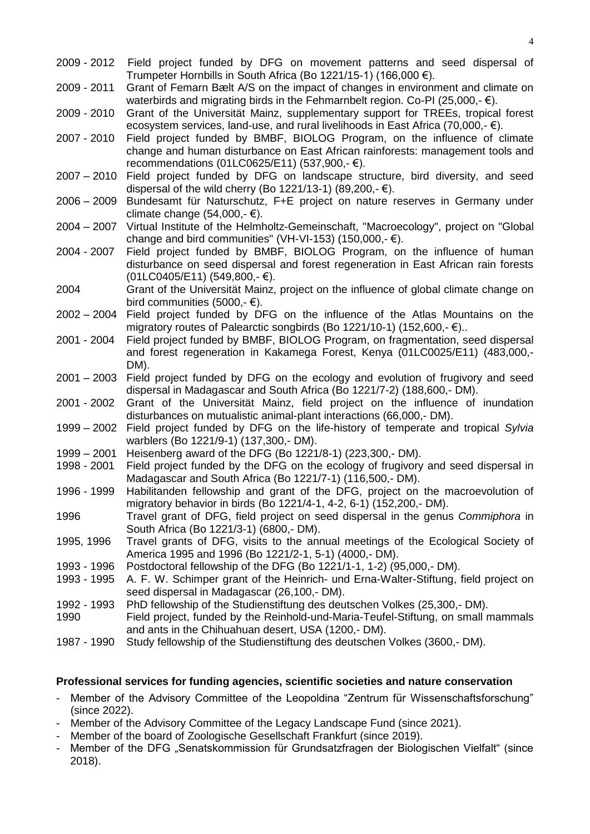- 2009 2012 Field project funded by DFG on movement patterns and seed dispersal of Trumpeter Hornbills in South Africa (Bo 1221/15-1) (166,000 €).
- 2009 2011 Grant of Femarn Bælt A/S on the impact of changes in environment and climate on waterbirds and migrating birds in the Fehmarnbelt region. Co-PI (25,000,- $\epsilon$ ).
- 2009 2010 Grant of the Universität Mainz, supplementary support for TREEs, tropical forest ecosystem services, land-use, and rural livelihoods in East Africa (70,000,- €).
- 2007 2010 Field project funded by BMBF, BIOLOG Program, on the influence of climate change and human disturbance on East African rainforests: management tools and recommendations (01LC0625/E11) (537,900,- €).
- 2007 2010 Field project funded by DFG on landscape structure, bird diversity, and seed dispersal of the wild cherry (Bo 1221/13-1) (89,200,- €).
- 2006 2009 Bundesamt für Naturschutz, F+E project on nature reserves in Germany under climate change (54,000, $\text{-} \in$ ).
- 2004 2007 Virtual Institute of the Helmholtz-Gemeinschaft, "Macroecology", project on "Global change and bird communities" (VH-VI-153) (150,000,- $\epsilon$ ).
- 2004 2007 Field project funded by BMBF, BIOLOG Program, on the influence of human disturbance on seed dispersal and forest regeneration in East African rain forests  $(01LC0405/E11)$  (549,800,  $∈$ ).
- 2004 Grant of the Universität Mainz, project on the influence of global climate change on bird communities (5000,- $\epsilon$ ).
- 2002 2004 Field project funded by DFG on the influence of the Atlas Mountains on the migratory routes of Palearctic songbirds (Bo 1221/10-1) (152,600,- $\epsilon$ )..
- 2001 2004 Field project funded by BMBF, BIOLOG Program, on fragmentation, seed dispersal and forest regeneration in Kakamega Forest, Kenya (01LC0025/E11) (483,000,- DM).
- 2001 2003 Field project funded by DFG on the ecology and evolution of frugivory and seed dispersal in Madagascar and South Africa (Bo 1221/7-2) (188,600,- DM).
- 2001 2002 Grant of the Universität Mainz, field project on the influence of inundation disturbances on mutualistic animal-plant interactions (66,000,- DM).
- 1999 2002 Field project funded by DFG on the life-history of temperate and tropical *Sylvia* warblers (Bo 1221/9-1) (137,300,- DM).
- 1999 2001 Heisenberg award of the DFG (Bo 1221/8-1) (223,300,- DM).
- 1998 2001 Field project funded by the DFG on the ecology of frugivory and seed dispersal in Madagascar and South Africa (Bo 1221/7-1) (116,500,- DM).
- 1996 1999 Habilitanden fellowship and grant of the DFG, project on the macroevolution of migratory behavior in birds (Bo 1221/4-1, 4-2, 6-1) (152,200,- DM).
- 1996 Travel grant of DFG, field project on seed dispersal in the genus *Commiphora* in South Africa (Bo 1221/3-1) (6800,- DM).
- 1995, 1996 Travel grants of DFG, visits to the annual meetings of the Ecological Society of America 1995 and 1996 (Bo 1221/2-1, 5-1) (4000,- DM).
- 1993 1996 Postdoctoral fellowship of the DFG (Bo 1221/1-1, 1-2) (95,000,- DM).
- 1993 1995 A. F. W. Schimper grant of the Heinrich- und Erna-Walter-Stiftung, field project on seed dispersal in Madagascar (26,100,- DM).
- 1992 1993 PhD fellowship of the Studienstiftung des deutschen Volkes (25,300,- DM).
- 1990 Field project, funded by the Reinhold-und-Maria-Teufel-Stiftung, on small mammals and ants in the Chihuahuan desert, USA (1200,- DM).
- 1987 1990 Study fellowship of the Studienstiftung des deutschen Volkes (3600,- DM).

#### **Professional services for funding agencies, scientific societies and nature conservation**

- Member of the Advisory Committee of the Leopoldina "Zentrum für Wissenschaftsforschung" (since 2022).
- Member of the Advisory Committee of the Legacy Landscape Fund (since 2021).
- Member of the board of Zoologische Gesellschaft Frankfurt (since 2019).
- Member of the DFG "Senatskommission für Grundsatzfragen der Biologischen Vielfalt" (since 2018).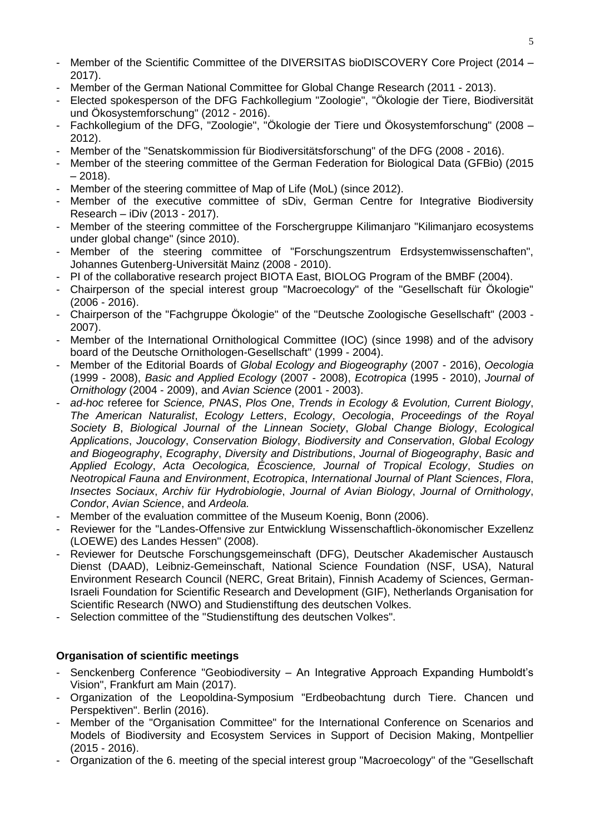- Member of the Scientific Committee of the DIVERSITAS bioDISCOVERY Core Project (2014 2017).
- Member of the German National Committee for Global Change Research (2011 2013).
- Elected spokesperson of the DFG Fachkollegium "Zoologie", "Ökologie der Tiere, Biodiversität und Ökosystemforschung" (2012 - 2016).
- Fachkollegium of the DFG, "Zoologie", "Ökologie der Tiere und Ökosystemforschung" (2008 2012).
- Member of the "Senatskommission für Biodiversitätsforschung" of the DFG (2008 2016).
- Member of the steering committee of the German Federation for Biological Data (GFBio) (2015  $-2018$ ).
- Member of the steering committee of Map of Life (MoL) (since 2012).
- Member of the executive committee of sDiv, German Centre for Integrative Biodiversity Research – iDiv (2013 - 2017).
- Member of the steering committee of the Forschergruppe Kilimanjaro "Kilimanjaro ecosystems under global change" (since 2010).
- Member of the steering committee of "Forschungszentrum Erdsystemwissenschaften", Johannes Gutenberg-Universität Mainz (2008 - 2010).
- PI of the collaborative research project BIOTA East, BIOLOG Program of the BMBF (2004).
- Chairperson of the special interest group "Macroecology" of the "Gesellschaft für Ökologie" (2006 - 2016).
- Chairperson of the "Fachgruppe Ökologie" of the "Deutsche Zoologische Gesellschaft" (2003 2007).
- Member of the International Ornithological Committee (IOC) (since 1998) and of the advisory board of the Deutsche Ornithologen-Gesellschaft" (1999 - 2004).
- Member of the Editorial Boards of *Global Ecology and Biogeography* (2007 2016), *Oecologia* (1999 - 2008), *Basic and Applied Ecology* (2007 - 2008), *Ecotropica* (1995 - 2010), *Journal of Ornithology* (2004 - 2009), and *Avian Science* (2001 - 2003).
- *ad-hoc* referee for *Science, PNAS*, *Plos One*, *Trends in Ecology & Evolution, Current Biology*, *The American Naturalist*, *Ecology Letters*, *Ecology*, *Oecologia*, *Proceedings of the Royal Society B*, *Biological Journal of the Linnean Society*, *Global Change Biology*, *Ecological Applications*, *Joucology*, *Conservation Biology*, *Biodiversity and Conservation*, *Global Ecology and Biogeography*, *Ecography*, *Diversity and Distributions*, *Journal of Biogeography*, *Basic and Applied Ecology*, *Acta Oecologica, Écoscience, Journal of Tropical Ecology*, *Studies on Neotropical Fauna and Environment*, *Ecotropica*, *International Journal of Plant Sciences*, *Flora*, *Insectes Sociaux*, *Archiv für Hydrobiologie*, *Journal of Avian Biology*, *Journal of Ornithology*, *Condor*, *Avian Science*, and *Ardeola.*
- Member of the evaluation committee of the Museum Koenig, Bonn (2006).
- Reviewer for the "Landes-Offensive zur Entwicklung Wissenschaftlich-ökonomischer Exzellenz (LOEWE) des Landes Hessen" (2008).
- Reviewer for Deutsche Forschungsgemeinschaft (DFG), Deutscher Akademischer Austausch Dienst (DAAD), Leibniz-Gemeinschaft, National Science Foundation (NSF, USA), Natural Environment Research Council (NERC, Great Britain), Finnish Academy of Sciences, German-Israeli Foundation for Scientific Research and Development (GIF), Netherlands Organisation for Scientific Research (NWO) and Studienstiftung des deutschen Volkes.
- Selection committee of the "Studienstiftung des deutschen Volkes".

### **Organisation of scientific meetings**

- Senckenberg Conference "Geobiodiversity An Integrative Approach Expanding Humboldt's Vision", Frankfurt am Main (2017).
- Organization of the Leopoldina-Symposium "Erdbeobachtung durch Tiere. Chancen und Perspektiven". Berlin (2016).
- Member of the "Organisation Committee" for the International Conference on Scenarios and Models of Biodiversity and Ecosystem Services in Support of Decision Making, Montpellier (2015 - 2016).
- Organization of the 6. meeting of the special interest group "Macroecology" of the "Gesellschaft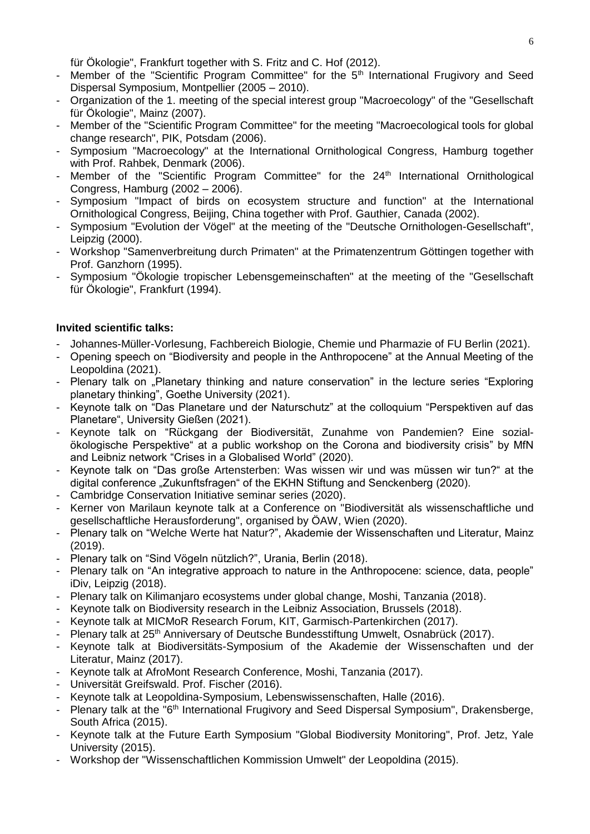für Ökologie", Frankfurt together with S. Fritz and C. Hof (2012).

- Member of the "Scientific Program Committee" for the  $5<sup>th</sup>$  International Frugivory and Seed Dispersal Symposium, Montpellier (2005 – 2010).
- Organization of the 1. meeting of the special interest group "Macroecology" of the "Gesellschaft für Ökologie", Mainz (2007).
- Member of the "Scientific Program Committee" for the meeting "Macroecological tools for global change research", PIK, Potsdam (2006).
- Symposium "Macroecology" at the International Ornithological Congress, Hamburg together with Prof. Rahbek, Denmark (2006).
- Member of the "Scientific Program Committee" for the 24<sup>th</sup> International Ornithological Congress, Hamburg (2002 – 2006).
- Symposium "Impact of birds on ecosystem structure and function" at the International Ornithological Congress, Beijing, China together with Prof. Gauthier, Canada (2002).
- Symposium "Evolution der Vögel" at the meeting of the "Deutsche Ornithologen-Gesellschaft", Leipzig (2000).
- Workshop "Samenverbreitung durch Primaten" at the Primatenzentrum Göttingen together with Prof. Ganzhorn (1995).
- Symposium "Ökologie tropischer Lebensgemeinschaften" at the meeting of the "Gesellschaft für Ökologie", Frankfurt (1994).

## **Invited scientific talks:**

- Johannes-Müller-Vorlesung, Fachbereich Biologie, Chemie und Pharmazie of FU Berlin (2021).
- Opening speech on "Biodiversity and people in the Anthropocene" at the Annual Meeting of the Leopoldina (2021).
- Plenary talk on "Planetary thinking and nature conservation" in the lecture series "Exploring planetary thinking", Goethe University (2021).
- Keynote talk on "Das Planetare und der Naturschutz" at the colloquium "Perspektiven auf das Planetare", University Gießen (2021).
- Keynote talk on "Rückgang der Biodiversität, Zunahme von Pandemien? Eine sozialökologische Perspektive" at a public workshop on the Corona and biodiversity crisis" by MfN and Leibniz network "Crises in a Globalised World" (2020).
- Keynote talk on "Das große Artensterben: Was wissen wir und was müssen wir tun?" at the digital conference "Zukunftsfragen" of the EKHN Stiftung and Senckenberg (2020).
- Cambridge Conservation Initiative seminar series (2020).
- Kerner von Marilaun keynote talk at a Conference on "Biodiversität als wissenschaftliche und gesellschaftliche Herausforderung", organised by ÖAW, Wien (2020).
- Plenary talk on "Welche Werte hat Natur?", Akademie der Wissenschaften und Literatur, Mainz (2019).
- Plenary talk on "Sind Vögeln nützlich?", Urania, Berlin (2018).
- Plenary talk on "An integrative approach to nature in the Anthropocene: science, data, people" iDiv, Leipzig (2018).
- Plenary talk on Kilimanjaro ecosystems under global change, Moshi, Tanzania (2018).
- Keynote talk on Biodiversity research in the Leibniz Association, Brussels (2018).
- Keynote talk at MICMoR Research Forum, KIT, Garmisch-Partenkirchen (2017).
- Plenary talk at 25<sup>th</sup> Anniversary of Deutsche Bundesstiftung Umwelt, Osnabrück (2017).
- Keynote talk at Biodiversitäts-Symposium of the Akademie der Wissenschaften und der Literatur, Mainz (2017).
- Keynote talk at AfroMont Research Conference, Moshi, Tanzania (2017).
- Universität Greifswald. Prof. Fischer (2016).
- Keynote talk at Leopoldina-Symposium, Lebenswissenschaften, Halle (2016).
- Plenary talk at the " $6<sup>th</sup>$  International Frugivory and Seed Dispersal Symposium", Drakensberge, South Africa (2015).
- Keynote talk at the Future Earth Symposium "Global Biodiversity Monitoring", Prof. Jetz, Yale University (2015).
- Workshop der "Wissenschaftlichen Kommission Umwelt" der Leopoldina (2015).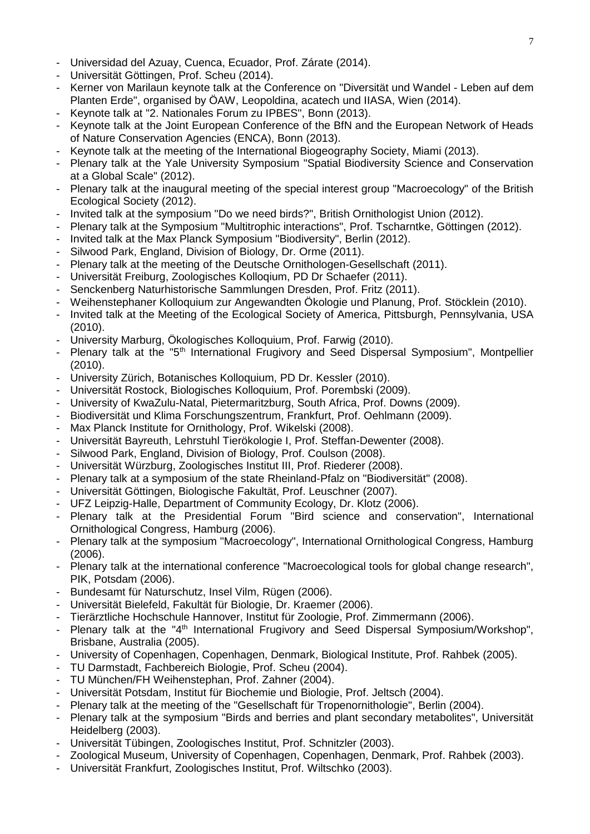- Universidad del Azuay, Cuenca, Ecuador, Prof. Zárate (2014).
- Universität Göttingen, Prof. Scheu (2014).
- Kerner von Marilaun keynote talk at the Conference on "Diversität und Wandel Leben auf dem Planten Erde", organised by ÖAW, Leopoldina, acatech und IIASA, Wien (2014).
- Keynote talk at "2. Nationales Forum zu IPBES", Bonn (2013).
- Keynote talk at the Joint European Conference of the BfN and the European Network of Heads of Nature Conservation Agencies (ENCA), Bonn (2013).
- Keynote talk at the meeting of the International Biogeography Society, Miami (2013).
- Plenary talk at the Yale University Symposium "Spatial Biodiversity Science and Conservation at a Global Scale" (2012).
- Plenary talk at the inaugural meeting of the special interest group "Macroecology" of the British Ecological Society (2012).
- Invited talk at the symposium "Do we need birds?", British Ornithologist Union (2012).
- Plenary talk at the Symposium "Multitrophic interactions", Prof. Tscharntke, Göttingen (2012).
- Invited talk at the Max Planck Symposium "Biodiversity", Berlin (2012).
- Silwood Park, England, Division of Biology, Dr. Orme (2011).
- Plenary talk at the meeting of the Deutsche Ornithologen-Gesellschaft (2011).
- Universität Freiburg, Zoologisches Kolloqium, PD Dr Schaefer (2011).
- Senckenberg Naturhistorische Sammlungen Dresden, Prof. Fritz (2011).
- Weihenstephaner Kolloquium zur Angewandten Ökologie und Planung, Prof. Stöcklein (2010).
- Invited talk at the Meeting of the Ecological Society of America, Pittsburgh, Pennsylvania, USA (2010).
- University Marburg, Ökologisches Kolloquium, Prof. Farwig (2010).
- Plenary talk at the "5<sup>th</sup> International Frugivory and Seed Dispersal Symposium", Montpellier (2010).
- University Zürich, Botanisches Kolloquium, PD Dr. Kessler (2010).
- Universität Rostock, Biologisches Kolloquium, Prof. Porembski (2009).
- University of KwaZulu-Natal, Pietermaritzburg, South Africa, Prof. Downs (2009).
- Biodiversität und Klima Forschungszentrum, Frankfurt, Prof. Oehlmann (2009).
- Max Planck Institute for Ornithology, Prof. Wikelski (2008).
- Universität Bayreuth, Lehrstuhl Tierökologie I, Prof. Steffan-Dewenter (2008).
- Silwood Park, England, Division of Biology, Prof. Coulson (2008).
- Universität Würzburg, Zoologisches Institut III, Prof. Riederer (2008).
- Plenary talk at a symposium of the state Rheinland-Pfalz on "Biodiversität" (2008).
- Universität Göttingen, Biologische Fakultät, Prof. Leuschner (2007).
- UFZ Leipzig-Halle, Department of Community Ecology, Dr. Klotz (2006).
- Plenary talk at the Presidential Forum "Bird science and conservation", International Ornithological Congress, Hamburg (2006).
- Plenary talk at the symposium "Macroecology", International Ornithological Congress, Hamburg (2006).
- Plenary talk at the international conference "Macroecological tools for global change research", PIK, Potsdam (2006).
- Bundesamt für Naturschutz, Insel Vilm, Rügen (2006).
- Universität Bielefeld, Fakultät für Biologie, Dr. Kraemer (2006).
- Tierärztliche Hochschule Hannover, Institut für Zoologie, Prof. Zimmermann (2006).
- Plenary talk at the "4<sup>th</sup> International Frugivory and Seed Dispersal Symposium/Workshop", Brisbane, Australia (2005).
- University of Copenhagen, Copenhagen, Denmark, Biological Institute, Prof. Rahbek (2005).
- TU Darmstadt, Fachbereich Biologie, Prof. Scheu (2004).
- TU München/FH Weihenstephan, Prof. Zahner (2004).
- Universität Potsdam, Institut für Biochemie und Biologie, Prof. Jeltsch (2004).
- Plenary talk at the meeting of the "Gesellschaft für Tropenornithologie", Berlin (2004).
- Plenary talk at the symposium "Birds and berries and plant secondary metabolites", Universität Heidelberg (2003).
- Universität Tübingen, Zoologisches Institut, Prof. Schnitzler (2003).
- Zoological Museum, University of Copenhagen, Copenhagen, Denmark, Prof. Rahbek (2003).
- Universität Frankfurt, Zoologisches Institut, Prof. Wiltschko (2003).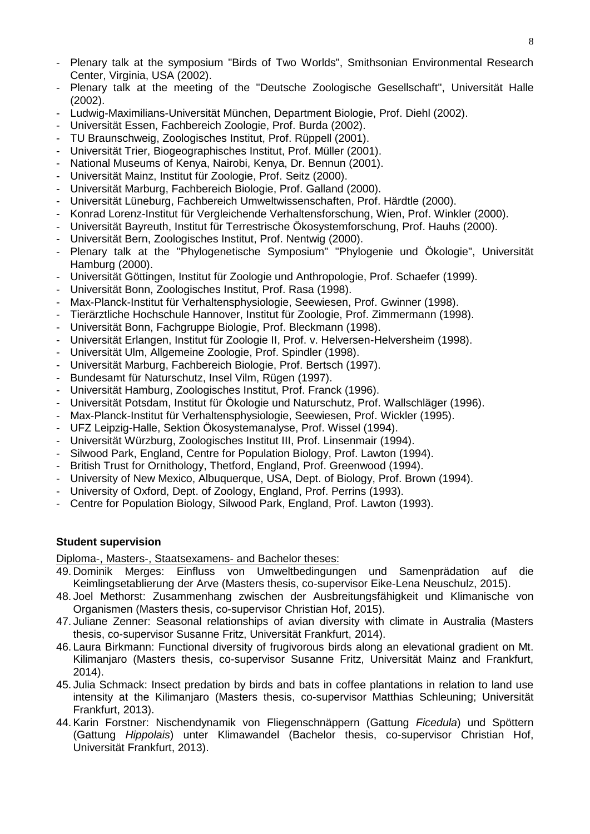- Plenary talk at the symposium "Birds of Two Worlds", Smithsonian Environmental Research Center, Virginia, USA (2002).
- Plenary talk at the meeting of the "Deutsche Zoologische Gesellschaft", Universität Halle (2002).
- Ludwig-Maximilians-Universität München, Department Biologie, Prof. Diehl (2002).
- Universität Essen, Fachbereich Zoologie, Prof. Burda (2002).
- TU Braunschweig, Zoologisches Institut, Prof. Rüppell (2001).
- Universität Trier, Biogeographisches Institut, Prof. Müller (2001).
- National Museums of Kenya, Nairobi, Kenya, Dr. Bennun (2001).
- Universität Mainz, Institut für Zoologie, Prof. Seitz (2000).
- Universität Marburg, Fachbereich Biologie, Prof. Galland (2000).
- Universität Lüneburg, Fachbereich Umweltwissenschaften, Prof. Härdtle (2000).
- Konrad Lorenz-Institut für Vergleichende Verhaltensforschung, Wien, Prof. Winkler (2000).
- Universität Bayreuth, Institut für Terrestrische Ökosystemforschung, Prof. Hauhs (2000).
- Universität Bern, Zoologisches Institut, Prof. Nentwig (2000).
- Plenary talk at the "Phylogenetische Symposium" "Phylogenie und Ökologie", Universität Hamburg (2000).
- Universität Göttingen, Institut für Zoologie und Anthropologie, Prof. Schaefer (1999).
- Universität Bonn, Zoologisches Institut, Prof. Rasa (1998).
- Max-Planck-Institut für Verhaltensphysiologie, Seewiesen, Prof. Gwinner (1998).
- Tierärztliche Hochschule Hannover, Institut für Zoologie, Prof. Zimmermann (1998).
- Universität Bonn, Fachgruppe Biologie, Prof. Bleckmann (1998).
- Universität Erlangen, Institut für Zoologie II, Prof. v. Helversen-Helversheim (1998).
- Universität Ulm, Allgemeine Zoologie, Prof. Spindler (1998).
- Universität Marburg, Fachbereich Biologie, Prof. Bertsch (1997).
- Bundesamt für Naturschutz, Insel Vilm, Rügen (1997).
- Universität Hamburg, Zoologisches Institut, Prof. Franck (1996).
- Universität Potsdam, Institut für Ökologie und Naturschutz, Prof. Wallschläger (1996).
- Max-Planck-Institut für Verhaltensphysiologie, Seewiesen, Prof. Wickler (1995).
- UFZ Leipzig-Halle, Sektion Ökosystemanalyse, Prof. Wissel (1994).
- Universität Würzburg, Zoologisches Institut III, Prof. Linsenmair (1994).
- Silwood Park, England, Centre for Population Biology, Prof. Lawton (1994).
- British Trust for Ornithology, Thetford, England, Prof. Greenwood (1994).
- University of New Mexico, Albuquerque, USA, Dept. of Biology, Prof. Brown (1994).
- University of Oxford, Dept. of Zoology, England, Prof. Perrins (1993).
- Centre for Population Biology, Silwood Park, England, Prof. Lawton (1993).

### **Student supervision**

Diploma-, Masters-, Staatsexamens- and Bachelor theses:

- 49. Dominik Merges: Einfluss von Umweltbedingungen und Samenprädation auf die Keimlingsetablierung der Arve (Masters thesis, co-supervisor Eike-Lena Neuschulz, 2015).
- 48. Joel Methorst: Zusammenhang zwischen der Ausbreitungsfähigkeit und Klimanische von Organismen (Masters thesis, co-supervisor Christian Hof, 2015).
- 47. Juliane Zenner: Seasonal relationships of avian diversity with climate in Australia (Masters thesis, co-supervisor Susanne Fritz, Universität Frankfurt, 2014).
- 46. Laura Birkmann: Functional diversity of frugivorous birds along an elevational gradient on Mt. Kilimanjaro (Masters thesis, co-supervisor Susanne Fritz, Universität Mainz and Frankfurt, 2014).
- 45. Julia Schmack: Insect predation by birds and bats in coffee plantations in relation to land use intensity at the Kilimanjaro (Masters thesis, co-supervisor Matthias Schleuning; Universität Frankfurt, 2013).
- 44.Karin Forstner: Nischendynamik von Fliegenschnäppern (Gattung *Ficedula*) und Spöttern (Gattung *Hippolais*) unter Klimawandel (Bachelor thesis, co-supervisor Christian Hof, Universität Frankfurt, 2013).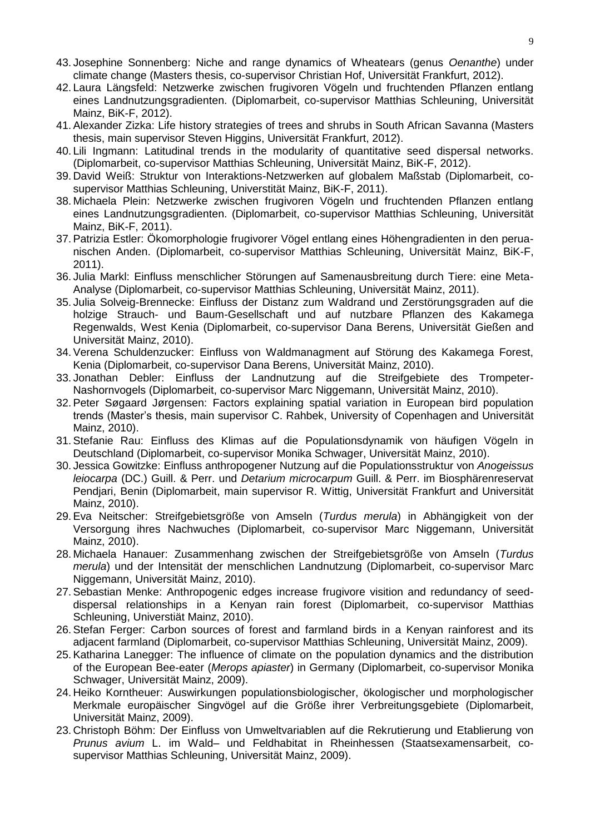- 43. Josephine Sonnenberg: Niche and range dynamics of Wheatears (genus *Oenanthe*) under climate change (Masters thesis, co-supervisor Christian Hof, Universität Frankfurt, 2012).
- 42. Laura Längsfeld: Netzwerke zwischen frugivoren Vögeln und fruchtenden Pflanzen entlang eines Landnutzungsgradienten. (Diplomarbeit, co-supervisor Matthias Schleuning, Universität Mainz, BiK-F, 2012).
- 41.Alexander Zizka: Life history strategies of trees and shrubs in South African Savanna (Masters thesis, main supervisor Steven Higgins, Universität Frankfurt, 2012).
- 40. Lili Ingmann: Latitudinal trends in the modularity of quantitative seed dispersal networks. (Diplomarbeit, co-supervisor Matthias Schleuning, Universität Mainz, BiK-F, 2012).
- 39. David Weiß: Struktur von Interaktions-Netzwerken auf globalem Maßstab (Diplomarbeit, cosupervisor Matthias Schleuning, Universtität Mainz, BiK-F, 2011).
- 38. Michaela Plein: Netzwerke zwischen frugivoren Vögeln und fruchtenden Pflanzen entlang eines Landnutzungsgradienten. (Diplomarbeit, co-supervisor Matthias Schleuning, Universität Mainz, BiK-F, 2011).
- 37.Patrizia Estler: Ökomorphologie frugivorer Vögel entlang eines Höhengradienten in den peruanischen Anden. (Diplomarbeit, co-supervisor Matthias Schleuning, Universität Mainz, BiK-F, 2011).
- 36. Julia Markl: Einfluss menschlicher Störungen auf Samenausbreitung durch Tiere: eine Meta-Analyse (Diplomarbeit, co-supervisor Matthias Schleuning, Universität Mainz, 2011).
- 35. Julia Solveig-Brennecke: Einfluss der Distanz zum Waldrand und Zerstörungsgraden auf die holzige Strauch- und Baum-Gesellschaft und auf nutzbare Pflanzen des Kakamega Regenwalds, West Kenia (Diplomarbeit, co-supervisor Dana Berens, Universität Gießen and Universität Mainz, 2010).
- 34.Verena Schuldenzucker: Einfluss von Waldmanagment auf Störung des Kakamega Forest, Kenia (Diplomarbeit, co-supervisor Dana Berens, Universität Mainz, 2010).
- 33. Jonathan Debler: Einfluss der Landnutzung auf die Streifgebiete des Trompeter-Nashornvogels (Diplomarbeit, co-supervisor Marc Niggemann, Universität Mainz, 2010).
- 32.Peter Søgaard Jørgensen: Factors explaining spatial variation in European bird population trends (Master's thesis, main supervisor C. Rahbek, University of Copenhagen and Universität Mainz, 2010).
- 31.Stefanie Rau: Einfluss des Klimas auf die Populationsdynamik von häufigen Vögeln in Deutschland (Diplomarbeit, co-supervisor Monika Schwager, Universität Mainz, 2010).
- 30. Jessica Gowitzke: Einfluss anthropogener Nutzung auf die Populationsstruktur von *Anogeissus leiocarpa* (DC.) Guill. & Perr. und *Detarium microcarpum* Guill. & Perr. im Biosphärenreservat Pendjari, Benin (Diplomarbeit, main supervisor R. Wittig, Universität Frankfurt and Universität Mainz, 2010).
- 29.Eva Neitscher: Streifgebietsgröße von Amseln (*Turdus merula*) in Abhängigkeit von der Versorgung ihres Nachwuches (Diplomarbeit, co-supervisor Marc Niggemann, Universität Mainz, 2010).
- 28. Michaela Hanauer: Zusammenhang zwischen der Streifgebietsgröße von Amseln (*Turdus merula*) und der Intensität der menschlichen Landnutzung (Diplomarbeit, co-supervisor Marc Niggemann, Universität Mainz, 2010).
- 27.Sebastian Menke: Anthropogenic edges increase frugivore visition and redundancy of seeddispersal relationships in a Kenyan rain forest (Diplomarbeit, co-supervisor Matthias Schleuning, Universtiät Mainz, 2010).
- 26.Stefan Ferger: Carbon sources of forest and farmland birds in a Kenyan rainforest and its adjacent farmland (Diplomarbeit, co-supervisor Matthias Schleuning, Universität Mainz, 2009).
- 25.Katharina Lanegger: The influence of climate on the population dynamics and the distribution of the European Bee-eater (*Merops apiaster*) in Germany (Diplomarbeit, co-supervisor Monika Schwager, Universität Mainz, 2009).
- 24. Heiko Korntheuer: Auswirkungen populationsbiologischer, ökologischer und morphologischer Merkmale europäischer Singvögel auf die Größe ihrer Verbreitungsgebiete (Diplomarbeit, Universität Mainz, 2009).
- 23. Christoph Böhm: Der Einfluss von Umweltvariablen auf die Rekrutierung und Etablierung von *Prunus avium* L. im Wald– und Feldhabitat in Rheinhessen (Staatsexamensarbeit, cosupervisor Matthias Schleuning, Universität Mainz, 2009).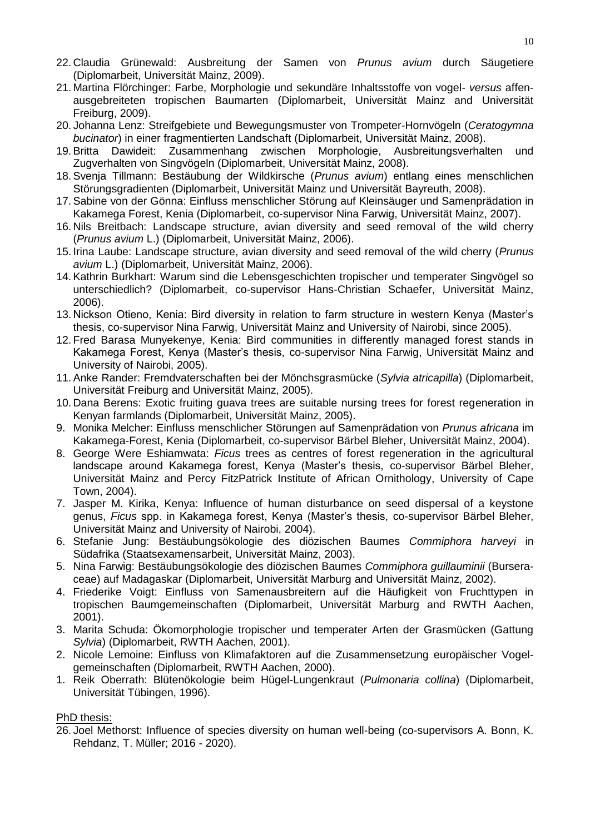- 22. Claudia Grünewald: Ausbreitung der Samen von *Prunus avium* durch Säugetiere (Diplomarbeit, Universität Mainz, 2009).
- 21. Martina Flörchinger: Farbe, Morphologie und sekundäre Inhaltsstoffe von vogel- *versus* affenausgebreiteten tropischen Baumarten (Diplomarbeit, Universität Mainz and Universität Freiburg, 2009).
- 20. Johanna Lenz: Streifgebiete und Bewegungsmuster von Trompeter-Hornvögeln (*Ceratogymna bucinator*) in einer fragmentierten Landschaft (Diplomarbeit, Universität Mainz, 2008).
- 19.Britta Dawideit: Zusammenhang zwischen Morphologie, Ausbreitungsverhalten und Zugverhalten von Singvögeln (Diplomarbeit, Universität Mainz, 2008).
- 18.Svenja Tillmann: Bestäubung der Wildkirsche (*Prunus avium*) entlang eines menschlichen Störungsgradienten (Diplomarbeit, Universität Mainz und Universität Bayreuth, 2008).
- 17.Sabine von der Gönna: Einfluss menschlicher Störung auf Kleinsäuger und Samenprädation in Kakamega Forest, Kenia (Diplomarbeit, co-supervisor Nina Farwig, Universität Mainz, 2007).
- 16. Nils Breitbach: Landscape structure, avian diversity and seed removal of the wild cherry (*Prunus avium* L.) (Diplomarbeit, Universität Mainz, 2006).
- 15. Irina Laube: Landscape structure, avian diversity and seed removal of the wild cherry (*Prunus avium* L.) (Diplomarbeit, Universität Mainz, 2006).
- 14.Kathrin Burkhart: Warum sind die Lebensgeschichten tropischer und temperater Singvögel so unterschiedlich? (Diplomarbeit, co-supervisor Hans-Christian Schaefer, Universität Mainz, 2006).
- 13. Nickson Otieno, Kenia: Bird diversity in relation to farm structure in western Kenya (Master's thesis, co-supervisor Nina Farwig, Universität Mainz and University of Nairobi, since 2005).
- 12. Fred Barasa Munyekenye, Kenia: Bird communities in differently managed forest stands in Kakamega Forest, Kenya (Master's thesis, co-supervisor Nina Farwig, Universität Mainz and University of Nairobi, 2005).
- 11.Anke Rander: Fremdvaterschaften bei der Mönchsgrasmücke (*Sylvia atricapilla*) (Diplomarbeit, Universität Freiburg and Universität Mainz, 2005).
- 10. Dana Berens: Exotic fruiting guava trees are suitable nursing trees for forest regeneration in Kenyan farmlands (Diplomarbeit, Universität Mainz, 2005).
- 9. Monika Melcher: Einfluss menschlicher Störungen auf Samenprädation von *Prunus africana* im Kakamega-Forest, Kenia (Diplomarbeit, co-supervisor Bärbel Bleher, Universität Mainz, 2004).
- 8. George Were Eshiamwata: *Ficus* trees as centres of forest regeneration in the agricultural landscape around Kakamega forest, Kenya (Master's thesis, co-supervisor Bärbel Bleher, Universität Mainz and Percy FitzPatrick Institute of African Ornithology, University of Cape Town, 2004).
- 7. Jasper M. Kirika, Kenya: Influence of human disturbance on seed dispersal of a keystone genus, *Ficus* spp. in Kakamega forest, Kenya (Master's thesis, co-supervisor Bärbel Bleher, Universität Mainz and University of Nairobi, 2004).
- 6. Stefanie Jung: Bestäubungsökologie des diözischen Baumes *Commiphora harveyi* in Südafrika (Staatsexamensarbeit, Universität Mainz, 2003).
- 5. Nina Farwig: Bestäubungsökologie des diözischen Baumes *Commiphora guillauminii* (Burseraceae) auf Madagaskar (Diplomarbeit, Universität Marburg and Universität Mainz, 2002).
- 4. Friederike Voigt: Einfluss von Samenausbreitern auf die Häufigkeit von Fruchttypen in tropischen Baumgemeinschaften (Diplomarbeit, Universität Marburg and RWTH Aachen, 2001).
- 3. Marita Schuda: Ökomorphologie tropischer und temperater Arten der Grasmücken (Gattung *Sylvia*) (Diplomarbeit, RWTH Aachen, 2001).
- 2. Nicole Lemoine: Einfluss von Klimafaktoren auf die Zusammensetzung europäischer Vogelgemeinschaften (Diplomarbeit, RWTH Aachen, 2000).
- 1. Reik Oberrath: Blütenökologie beim Hügel-Lungenkraut (*Pulmonaria collina*) (Diplomarbeit, Universität Tübingen, 1996).

### PhD thesis:

26. Joel Methorst: Influence of species diversity on human well-being (co-supervisors A. Bonn, K. Rehdanz, T. Müller; 2016 - 2020).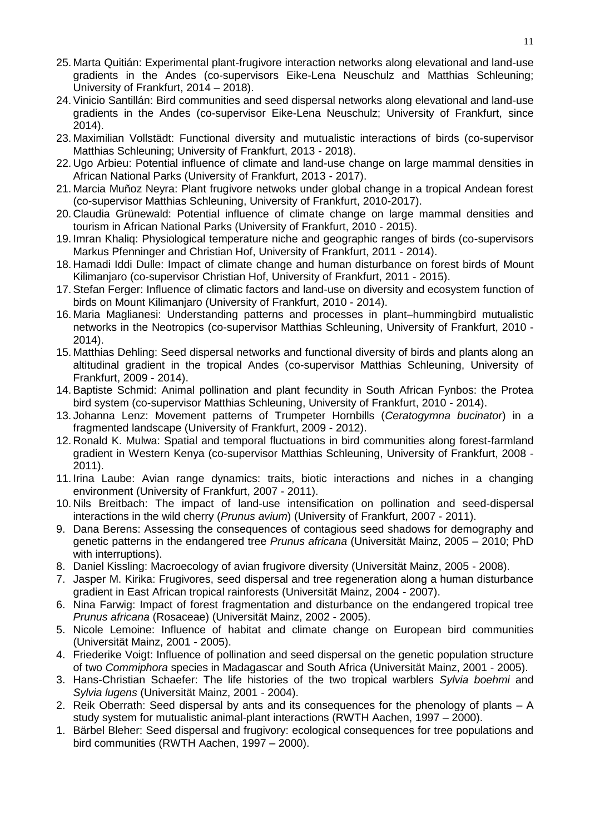- 25. Marta Quitián: Experimental plant-frugivore interaction networks along elevational and land-use gradients in the Andes (co-supervisors Eike-Lena Neuschulz and Matthias Schleuning; University of Frankfurt, 2014 – 2018).
- 24.Vinicio Santillán: Bird communities and seed dispersal networks along elevational and land-use gradients in the Andes (co-supervisor Eike-Lena Neuschulz; University of Frankfurt, since 2014).
- 23. Maximilian Vollstädt: Functional diversity and mutualistic interactions of birds (co-supervisor Matthias Schleuning; University of Frankfurt, 2013 - 2018).
- 22. Ugo Arbieu: Potential influence of climate and land-use change on large mammal densities in African National Parks (University of Frankfurt, 2013 - 2017).
- 21. Marcia Muñoz Neyra: Plant frugivore netwoks under global change in a tropical Andean forest (co-supervisor Matthias Schleuning, University of Frankfurt, 2010-2017).
- 20. Claudia Grünewald: Potential influence of climate change on large mammal densities and tourism in African National Parks (University of Frankfurt, 2010 - 2015).
- 19. Imran Khaliq: Physiological temperature niche and geographic ranges of birds (co-supervisors Markus Pfenninger and Christian Hof, University of Frankfurt, 2011 - 2014).
- 18. Hamadi Iddi Dulle: Impact of climate change and human disturbance on forest birds of Mount Kilimanjaro (co-supervisor Christian Hof, University of Frankfurt, 2011 - 2015).
- 17.Stefan Ferger: Influence of climatic factors and land-use on diversity and ecosystem function of birds on Mount Kilimanjaro (University of Frankfurt, 2010 - 2014).
- 16. Maria Maglianesi: Understanding patterns and processes in plant–hummingbird mutualistic networks in the Neotropics (co-supervisor Matthias Schleuning, University of Frankfurt, 2010 - 2014).
- 15. Matthias Dehling: Seed dispersal networks and functional diversity of birds and plants along an altitudinal gradient in the tropical Andes (co-supervisor Matthias Schleuning, University of Frankfurt, 2009 - 2014).
- 14.Baptiste Schmid: Animal pollination and plant fecundity in South African Fynbos: the Protea bird system (co-supervisor Matthias Schleuning, University of Frankfurt, 2010 - 2014).
- 13. Johanna Lenz: Movement patterns of Trumpeter Hornbills (*Ceratogymna bucinator*) in a fragmented landscape (University of Frankfurt, 2009 - 2012).
- 12. Ronald K. Mulwa: Spatial and temporal fluctuations in bird communities along forest-farmland gradient in Western Kenya (co-supervisor Matthias Schleuning, University of Frankfurt, 2008 - 2011).
- 11. Irina Laube: Avian range dynamics: traits, biotic interactions and niches in a changing environment (University of Frankfurt, 2007 - 2011).
- 10. Nils Breitbach: The impact of land-use intensification on pollination and seed-dispersal interactions in the wild cherry (*Prunus avium*) (University of Frankfurt, 2007 - 2011).
- 9. Dana Berens: Assessing the consequences of contagious seed shadows for demography and genetic patterns in the endangered tree *Prunus africana* (Universität Mainz, 2005 – 2010; PhD with interruptions).
- 8. Daniel Kissling: Macroecology of avian frugivore diversity (Universität Mainz, 2005 2008).
- 7. Jasper M. Kirika: Frugivores, seed dispersal and tree regeneration along a human disturbance gradient in East African tropical rainforests (Universität Mainz, 2004 - 2007).
- 6. Nina Farwig: Impact of forest fragmentation and disturbance on the endangered tropical tree *Prunus africana* (Rosaceae) (Universität Mainz, 2002 - 2005).
- 5. Nicole Lemoine: Influence of habitat and climate change on European bird communities (Universität Mainz, 2001 - 2005).
- 4. Friederike Voigt: Influence of pollination and seed dispersal on the genetic population structure of two *Commiphora* species in Madagascar and South Africa (Universität Mainz, 2001 - 2005).
- 3. Hans-Christian Schaefer: The life histories of the two tropical warblers *Sylvia boehmi* and *Sylvia lugens* (Universität Mainz, 2001 - 2004).
- 2. Reik Oberrath: Seed dispersal by ants and its consequences for the phenology of plants A study system for mutualistic animal-plant interactions (RWTH Aachen, 1997 – 2000).
- 1. Bärbel Bleher: Seed dispersal and frugivory: ecological consequences for tree populations and bird communities (RWTH Aachen, 1997 – 2000).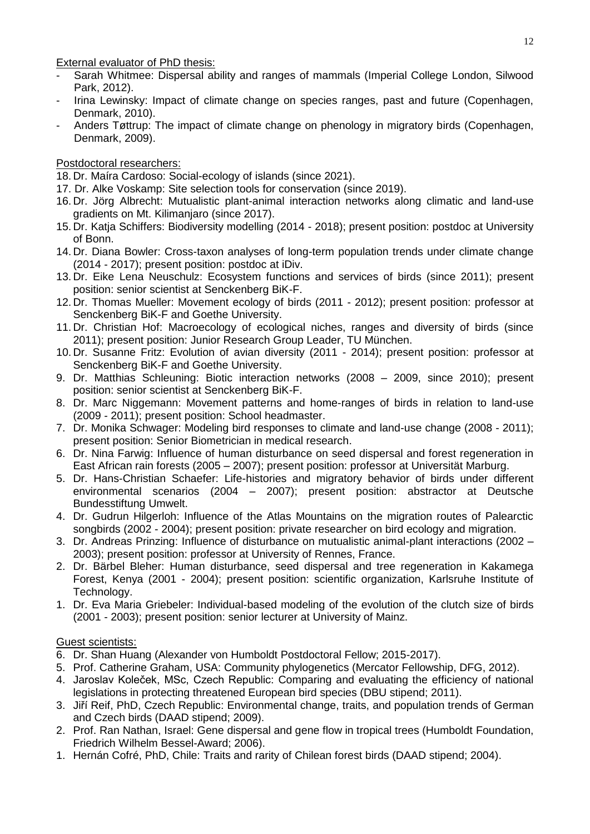External evaluator of PhD thesis:

- Sarah Whitmee: Dispersal ability and ranges of mammals (Imperial College London, Silwood Park, 2012).
- Irina Lewinsky: Impact of climate change on species ranges, past and future (Copenhagen, Denmark, 2010).
- Anders Tøttrup: The impact of climate change on phenology in migratory birds (Copenhagen, Denmark, 2009).

## Postdoctoral researchers:

- 18. Dr. Maíra Cardoso: Social-ecology of islands (since 2021).
- 17. Dr. Alke Voskamp: Site selection tools for conservation (since 2019).
- 16. Dr. Jörg Albrecht: Mutualistic plant-animal interaction networks along climatic and land-use gradients on Mt. Kilimanjaro (since 2017).
- 15. Dr. Katja Schiffers: Biodiversity modelling (2014 2018); present position: postdoc at University of Bonn.
- 14. Dr. Diana Bowler: Cross-taxon analyses of long-term population trends under climate change (2014 - 2017); present position: postdoc at iDiv.
- 13. Dr. Eike Lena Neuschulz: Ecosystem functions and services of birds (since 2011); present position: senior scientist at Senckenberg BiK-F.
- 12. Dr. Thomas Mueller: Movement ecology of birds (2011 2012); present position: professor at Senckenberg BiK-F and Goethe University.
- 11. Dr. Christian Hof: Macroecology of ecological niches, ranges and diversity of birds (since 2011); present position: Junior Research Group Leader, TU München.
- 10. Dr. Susanne Fritz: Evolution of avian diversity (2011 2014); present position: professor at Senckenberg BiK-F and Goethe University.
- 9. Dr. Matthias Schleuning: Biotic interaction networks (2008 2009, since 2010); present position: senior scientist at Senckenberg BiK-F.
- 8. Dr. Marc Niggemann: Movement patterns and home-ranges of birds in relation to land-use (2009 - 2011); present position: School headmaster.
- 7. Dr. Monika Schwager: Modeling bird responses to climate and land-use change (2008 2011); present position: Senior Biometrician in medical research.
- 6. Dr. Nina Farwig: Influence of human disturbance on seed dispersal and forest regeneration in East African rain forests (2005 – 2007); present position: professor at Universität Marburg.
- 5. Dr. Hans-Christian Schaefer: Life-histories and migratory behavior of birds under different environmental scenarios (2004 – 2007); present position: abstractor at Deutsche Bundesstiftung Umwelt.
- 4. Dr. Gudrun Hilgerloh: Influence of the Atlas Mountains on the migration routes of Palearctic songbirds (2002 - 2004); present position: private researcher on bird ecology and migration.
- 3. Dr. Andreas Prinzing: Influence of disturbance on mutualistic animal-plant interactions (2002 2003); present position: professor at University of Rennes, France.
- 2. Dr. Bärbel Bleher: Human disturbance, seed dispersal and tree regeneration in Kakamega Forest, Kenya (2001 - 2004); present position: scientific organization, Karlsruhe Institute of Technology.
- 1. Dr. Eva Maria Griebeler: Individual-based modeling of the evolution of the clutch size of birds (2001 - 2003); present position: senior lecturer at University of Mainz.

## **Guest scientists:**

- 6. Dr. Shan Huang (Alexander von Humboldt Postdoctoral Fellow; 2015-2017).
- 5. Prof. Catherine Graham, USA: Community phylogenetics (Mercator Fellowship, DFG, 2012).
- 4. Jaroslav Koleček, MSc, Czech Republic: Comparing and evaluating the efficiency of national legislations in protecting threatened European bird species (DBU stipend; 2011).
- 3. Jiří Reif, PhD, Czech Republic: Environmental change, traits, and population trends of German and Czech birds (DAAD stipend; 2009).
- 2. Prof. Ran Nathan, Israel: Gene dispersal and gene flow in tropical trees (Humboldt Foundation, Friedrich Wilhelm Bessel-Award; 2006).
- 1. Hernán Cofré, PhD, Chile: Traits and rarity of Chilean forest birds (DAAD stipend; 2004).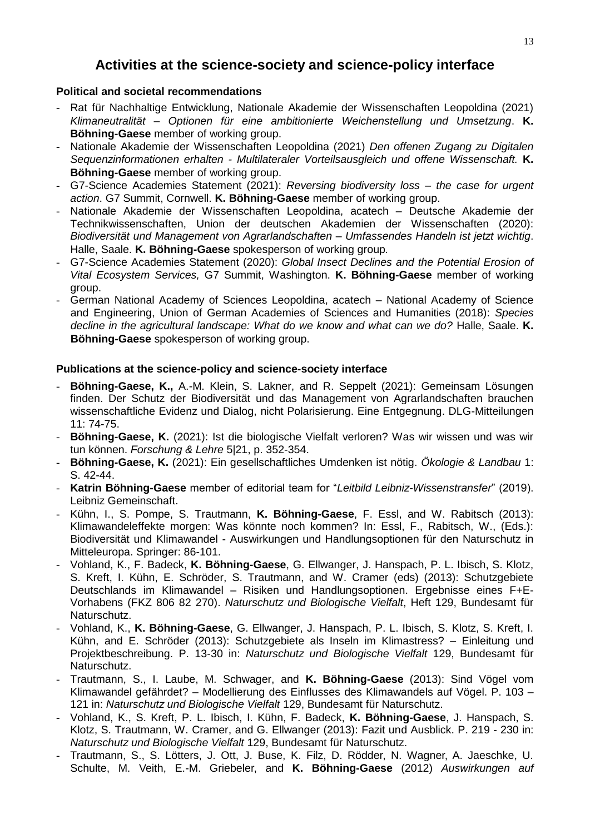# **Activities at the science-society and science-policy interface**

## **Political and societal recommendations**

- Rat für Nachhaltige Entwicklung, Nationale Akademie der Wissenschaften Leopoldina (2021) *Klimaneutralität – Optionen für eine ambitionierte Weichenstellung und Umsetzung*. **K. Böhning-Gaese** member of working group.
- Nationale Akademie der Wissenschaften Leopoldina (2021) *Den offenen Zugang zu Digitalen Sequenzinformationen erhalten - Multilateraler Vorteilsausgleich und offene Wissenschaft.* **K. Böhning-Gaese** member of working group.
- G7-Science Academies Statement (2021): *Reversing biodiversity loss – the case for urgent action*. G7 Summit, Cornwell. **K. Böhning-Gaese** member of working group.
- Nationale Akademie der Wissenschaften Leopoldina, acatech Deutsche Akademie der Technikwissenschaften, Union der deutschen Akademien der Wissenschaften (2020): *Biodiversität und Management von Agrarlandschaften – Umfassendes Handeln ist jetzt wichtig*. Halle, Saale. **K. Böhning-Gaese** spokesperson of working group*.*
- G7-Science Academies Statement (2020): *Global Insect Declines and the Potential Erosion of Vital Ecosystem Services,* G7 Summit, Washington. **K. Böhning-Gaese** member of working group.
- German National Academy of Sciences Leopoldina, acatech National Academy of Science and Engineering, Union of German Academies of Sciences and Humanities (2018): *Species decline in the agricultural landscape: What do we know and what can we do?* Halle, Saale. **K. Böhning-Gaese** spokesperson of working group.

## **Publications at the science-policy and science-society interface**

- **Böhning-Gaese, K.,** A.-M. Klein, S. Lakner, and R. Seppelt (2021): Gemeinsam Lösungen finden. Der Schutz der Biodiversität und das Management von Agrarlandschaften brauchen wissenschaftliche Evidenz und Dialog, nicht Polarisierung. Eine Entgegnung. DLG-Mitteilungen 11: 74-75.
- **Böhning-Gaese, K.** (2021): Ist die biologische Vielfalt verloren? Was wir wissen und was wir tun können. *Forschung & Lehre* 5|21, p. 352-354.
- **Böhning-Gaese, K.** (2021): Ein gesellschaftliches Umdenken ist nötig. *Ökologie & Landbau* 1: S. 42-44.
- **Katrin Böhning-Gaese** member of editorial team for "*Leitbild Leibniz-Wissenstransfer*" (2019). Leibniz Gemeinschaft.
- Kühn, I., S. Pompe, S. Trautmann, **K. Böhning-Gaese**, F. Essl, and W. Rabitsch (2013): Klimawandeleffekte morgen: Was könnte noch kommen? In: Essl, F., Rabitsch, W., (Eds.): Biodiversität und Klimawandel - Auswirkungen und Handlungsoptionen für den Naturschutz in Mitteleuropa. Springer: 86-101.
- Vohland, K., F. Badeck, **K. Böhning-Gaese**, G. Ellwanger, J. Hanspach, P. L. Ibisch, S. Klotz, S. Kreft, I. Kühn, E. Schröder, S. Trautmann, and W. Cramer (eds) (2013): Schutzgebiete Deutschlands im Klimawandel – Risiken und Handlungsoptionen. Ergebnisse eines F+E-Vorhabens (FKZ 806 82 270). *Naturschutz und Biologische Vielfalt*, Heft 129, Bundesamt für Naturschutz.
- Vohland, K., **K. Böhning-Gaese**, G. Ellwanger, J. Hanspach, P. L. Ibisch, S. Klotz, S. Kreft, I. Kühn, and E. Schröder (2013): Schutzgebiete als Inseln im Klimastress? – Einleitung und Projektbeschreibung. P. 13-30 in: *Naturschutz und Biologische Vielfalt* 129, Bundesamt für Naturschutz.
- Trautmann, S., I. Laube, M. Schwager, and **K. Böhning-Gaese** (2013): Sind Vögel vom Klimawandel gefährdet? – Modellierung des Einflusses des Klimawandels auf Vögel. P. 103 – 121 in: *Naturschutz und Biologische Vielfalt* 129, Bundesamt für Naturschutz.
- Vohland, K., S. Kreft, P. L. Ibisch, I. Kühn, F. Badeck, **K. Böhning-Gaese**, J. Hanspach, S. Klotz, S. Trautmann, W. Cramer, and G. Ellwanger (2013): Fazit und Ausblick. P. 219 - 230 in: *Naturschutz und Biologische Vielfalt* 129, Bundesamt für Naturschutz.
- Trautmann, S., S. Lötters, J. Ott, J. Buse, K. Filz, D. Rödder, N. Wagner, A. Jaeschke, U. Schulte, M. Veith, E.-M. Griebeler, and **K. Böhning-Gaese** (2012) *Auswirkungen auf*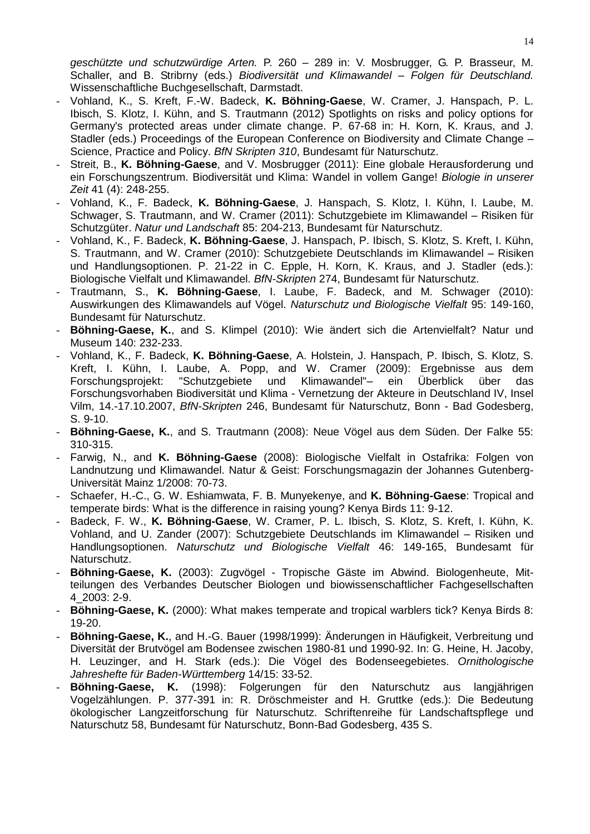*geschützte und schutzwürdige Arten.* P. 260 – 289 in: V. Mosbrugger, G. P. Brasseur, M. Schaller, and B. Stribrny (eds.) *Biodiversität und Klimawandel – Folgen für Deutschland.* Wissenschaftliche Buchgesellschaft, Darmstadt.

- Vohland, K., S. Kreft, F.-W. Badeck, **K. Böhning-Gaese**, W. Cramer, J. Hanspach, P. L. Ibisch, S. Klotz, I. Kühn, and S. Trautmann (2012) Spotlights on risks and policy options for Germany's protected areas under climate change. P. 67-68 in: H. Korn, K. Kraus, and J. Stadler (eds.) Proceedings of the European Conference on Biodiversity and Climate Change – Science, Practice and Policy. *[BfN Skripten 310](http://www.bfn.de/fileadmin/MDB/documents/service/Skript_310.pdf)*, Bundesamt für Naturschutz.
- Streit, B., **K. Böhning-Gaese**, and V. Mosbrugger (2011): Eine globale Herausforderung und ein Forschungszentrum. Biodiversität und Klima: Wandel in vollem Gange! *Biologie in unserer Zeit* 41 (4): 248-255.
- Vohland, K., F. Badeck, **K. Böhning-Gaese**, J. Hanspach, S. Klotz, I. Kühn, I. Laube, M. Schwager, S. Trautmann, and W. Cramer (2011): Schutzgebiete im Klimawandel – Risiken für Schutzgüter. *Natur und Landschaft* 85: 204-213, Bundesamt für Naturschutz.
- Vohland, K., F. Badeck, **K. Böhning-Gaese**, J. Hanspach, P. Ibisch, S. Klotz, S. Kreft, I. Kühn, S. Trautmann, and W. Cramer (2010): Schutzgebiete Deutschlands im Klimawandel – Risiken und Handlungsoptionen. P. 21-22 in C. Epple, H. Korn, K. Kraus, and J. Stadler (eds.): Biologische Vielfalt und Klimawandel. *BfN-Skripten* 274, Bundesamt für Naturschutz.
- Trautmann, S., **K. Böhning-Gaese**, I. Laube, F. Badeck, and M. Schwager (2010): Auswirkungen des Klimawandels auf Vögel. *Naturschutz und Biologische Vielfalt* 95: 149-160, Bundesamt für Naturschutz.
- **Böhning-Gaese, K.**, and S. Klimpel (2010): Wie ändert sich die Artenvielfalt? Natur und Museum 140: 232-233.
- Vohland, K., F. Badeck, **K. Böhning-Gaese**, A. Holstein, J. Hanspach, P. Ibisch, S. Klotz, S. Kreft, I. Kühn, I. Laube, A. Popp, and W. Cramer (2009): Ergebnisse aus dem Forschungsprojekt: "Schutzgebiete und Klimawandel"– ein Überblick über das Forschungsvorhaben Biodiversität und Klima - Vernetzung der Akteure in Deutschland IV, Insel Vilm, 14.-17.10.2007, *BfN-Skripten* 246, Bundesamt für Naturschutz, Bonn - Bad Godesberg, S. 9-10.
- **Böhning-Gaese, K.**, and S. Trautmann (2008): Neue Vögel aus dem Süden. Der Falke 55: 310-315.
- Farwig, N., and **K. Böhning-Gaese** (2008): Biologische Vielfalt in Ostafrika: Folgen von Landnutzung und Klimawandel. Natur & Geist: Forschungsmagazin der Johannes Gutenberg-Universität Mainz 1/2008: 70-73.
- Schaefer, H.-C., G. W. Eshiamwata, F. B. Munyekenye, and **K. Böhning-Gaese**: Tropical and temperate birds: What is the difference in raising young? Kenya Birds 11: 9-12.
- Badeck, F. W., **K. Böhning-Gaese**, W. Cramer, P. L. Ibisch, S. Klotz, S. Kreft, I. Kühn, K. Vohland, and U. Zander (2007): Schutzgebiete Deutschlands im Klimawandel – Risiken und Handlungsoptionen. *Naturschutz und Biologische Vielfalt* 46: 149-165, Bundesamt für Naturschutz.
- **Böhning-Gaese, K.** (2003): Zugvögel Tropische Gäste im Abwind. Biologenheute, Mitteilungen des Verbandes Deutscher Biologen und biowissenschaftlicher Fachgesellschaften 4\_2003: 2-9.
- Böhning-Gaese, K. (2000): What makes temperate and tropical warblers tick? Kenya Birds 8: 19-20.
- **Böhning-Gaese, K.**, and H.-G. Bauer (1998/1999): Änderungen in Häufigkeit, Verbreitung und Diversität der Brutvögel am Bodensee zwischen 1980-81 und 1990-92. In: G. Heine, H. Jacoby, H. Leuzinger, and H. Stark (eds.): Die Vögel des Bodenseegebietes. *Ornithologische Jahreshefte für Baden-Württemberg* 14/15: 33-52.
- **Böhning-Gaese, K.** (1998): Folgerungen für den Naturschutz aus langjährigen Vogelzählungen. P. 377-391 in: R. Dröschmeister and H. Gruttke (eds.): Die Bedeutung ökologischer Langzeitforschung für Naturschutz. Schriftenreihe für Landschaftspflege und Naturschutz 58, Bundesamt für Naturschutz, Bonn-Bad Godesberg, 435 S.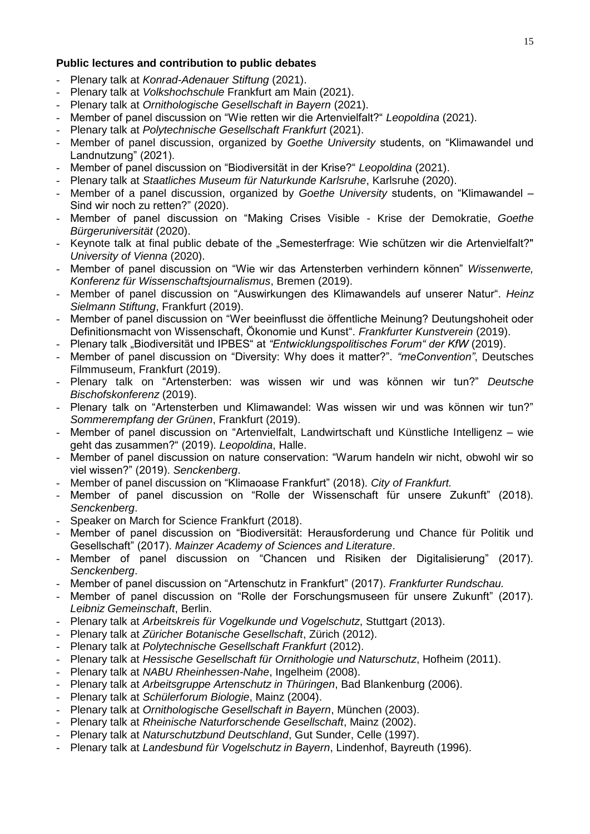### **Public lectures and contribution to public debates**

- Plenary talk at *Konrad-Adenauer Stiftung* (2021).
- Plenary talk at *Volkshochschule* Frankfurt am Main (2021).
- Plenary talk at *Ornithologische Gesellschaft in Bayern* (2021).
- Member of panel discussion on "Wie retten wir die Artenvielfalt?" *Leopoldina* (2021).
- Plenary talk at *Polytechnische Gesellschaft Frankfurt* (2021).
- Member of panel discussion, organized by *Goethe University* students, on "Klimawandel und Landnutzung" (2021).
- Member of panel discussion on "Biodiversität in der Krise?" *Leopoldina* (2021).
- Plenary talk at *Staatliches Museum für Naturkunde Karlsruhe*, Karlsruhe (2020).
- Member of a panel discussion, organized by *Goethe University* students, on "Klimawandel Sind wir noch zu retten?" (2020).
- Member of panel discussion on "Making Crises Visible Krise der Demokratie, *Goethe Bürgeruniversität* (2020).
- Keynote talk at final public debate of the "Semesterfrage: Wie schützen wir die Artenvielfalt?" *University of Vienna* (2020).
- Member of panel discussion on "Wie wir das Artensterben verhindern können" *Wissenwerte, Konferenz für Wissenschaftsjournalismus*, Bremen (2019).
- Member of panel discussion on "Auswirkungen des Klimawandels auf unserer Natur". *Heinz Sielmann Stiftung*, Frankfurt (2019).
- Member of panel discussion on "Wer beeinflusst die öffentliche Meinung? Deutungshoheit oder Definitionsmacht von Wissenschaft, Ökonomie und Kunst". *Frankfurter Kunstverein* (2019).
- Plenary talk "Biodiversität und IPBES" at "Entwicklungspolitisches Forum" der KfW (2019).
- Member of panel discussion on "Diversity: Why does it matter?". *"meConvention"*, Deutsches Filmmuseum, Frankfurt (2019).
- Plenary talk on "Artensterben: was wissen wir und was können wir tun?" *Deutsche Bischofskonferenz* (2019).
- Plenary talk on "Artensterben und Klimawandel: Was wissen wir und was können wir tun?" *Sommerempfang der Grünen*, Frankfurt (2019).
- Member of panel discussion on "Artenvielfalt, Landwirtschaft und Künstliche Intelligenz wie geht das zusammen?" (2019). *Leopoldina*, Halle.
- Member of panel discussion on nature conservation: "Warum handeln wir nicht, obwohl wir so viel wissen?" (2019). *Senckenberg*.
- Member of panel discussion on "Klimaoase Frankfurt" (2018). *City of Frankfurt.*
- Member of panel discussion on "Rolle der Wissenschaft für unsere Zukunft" (2018). *Senckenberg*.
- Speaker on March for Science Frankfurt (2018).
- Member of panel discussion on "Biodiversität: Herausforderung und Chance für Politik und Gesellschaft" (2017). *Mainzer Academy of Sciences and Literature*.
- Member of panel discussion on "Chancen und Risiken der Digitalisierung" (2017). *Senckenberg*.
- Member of panel discussion on "Artenschutz in Frankfurt" (2017). *Frankfurter Rundschau.*
- Member of panel discussion on "Rolle der Forschungsmuseen für unsere Zukunft" (2017). *Leibniz Gemeinschaft*, Berlin.
- Plenary talk at *Arbeitskreis für Vogelkunde und Vogelschutz*, Stuttgart (2013).
- Plenary talk at *Züricher Botanische Gesellschaft*, Zürich (2012).
- Plenary talk at *Polytechnische Gesellschaft Frankfurt* (2012).
- Plenary talk at *Hessische Gesellschaft für Ornithologie und Naturschutz*, Hofheim (2011).
- Plenary talk at *NABU Rheinhessen-Nahe*, Ingelheim (2008).
- Plenary talk at *Arbeitsgruppe Artenschutz in Thüringen*, Bad Blankenburg (2006).
- Plenary talk at *Schülerforum Biologie*, Mainz (2004).
- Plenary talk at *Ornithologische Gesellschaft in Bayern*, München (2003).
- Plenary talk at *Rheinische Naturforschende Gesellschaft*, Mainz (2002).
- Plenary talk at *Naturschutzbund Deutschland*, Gut Sunder, Celle (1997).
- Plenary talk at *Landesbund für Vogelschutz in Bayern*, Lindenhof, Bayreuth (1996).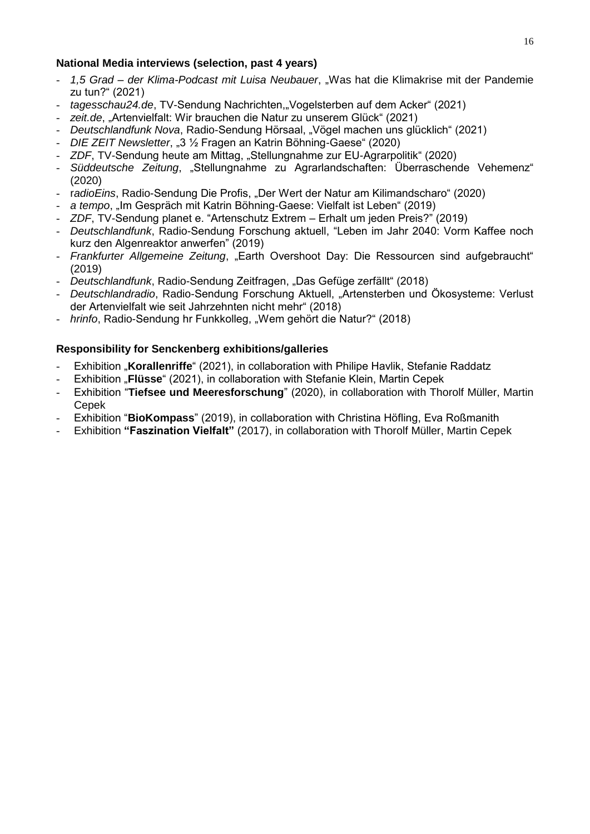## **National Media interviews (selection, past 4 years)**

- *1,5 Grad – der Klima-Podcast mit Luisa Neubauer*, "Was hat die Klimakrise mit der Pandemie zu tun?" (2021)
- *tagesschau24.de*, TV-Sendung Nachrichten,"Vogelsterben auf dem Acker" (2021)
- zeit.de. "Artenvielfalt: Wir brauchen die Natur zu unserem Glück" (2021)
- *Deutschlandfunk Nova*, Radio-Sendung Hörsaal, "Vögel machen uns glücklich" (2021)
- *DIE ZEIT Newsletter*, "3 ½ Fragen an Katrin Böhning-Gaese" (2020)
- *ZDF*, TV-Sendung heute am Mittag, "Stellungnahme zur EU-Agrarpolitik" (2020)
- *Süddeutsche Zeitung*, "Stellungnahme zu Agrarlandschaften: Überraschende Vehemenz" (2020)
- r*adioEins*, Radio-Sendung Die Profis, "Der Wert der Natur am Kilimandscharo" (2020)
- a tempo, "Im Gespräch mit Katrin Böhning-Gaese: Vielfalt ist Leben" (2019)
- *ZDF*, TV-Sendung planet e. "Artenschutz Extrem Erhalt um jeden Preis?" (2019)
- *Deutschlandfunk*, Radio-Sendung Forschung aktuell, "Leben im Jahr 2040: Vorm Kaffee noch kurz den Algenreaktor anwerfen" (2019)
- *Frankfurter Allgemeine Zeitung*, "Earth Overshoot Day: Die Ressourcen sind aufgebraucht" (2019)
- *Deutschlandfunk*, Radio-Sendung Zeitfragen, "Das Gefüge zerfällt" (2018)
- *Deutschlandradio*, Radio-Sendung Forschung Aktuell, "Artensterben und Ökosysteme: Verlust der Artenvielfalt wie seit Jahrzehnten nicht mehr" (2018)
- *hrinfo*, Radio-Sendung hr Funkkolleg, "Wem gehört die Natur?" (2018)

## **Responsibility for Senckenberg exhibitions/galleries**

- Exhibition "Korallenriffe" (2021), in collaboration with Philipe Havlik, Stefanie Raddatz
- Exhibition "**Flüsse**" (2021), in collaboration with Stefanie Klein, Martin Cepek
- Exhibition "**Tiefsee und Meeresforschung**" (2020), in collaboration with Thorolf Müller, Martin Cepek
- Exhibition "**BioKompass**" (2019), in collaboration with Christina Höfling, Eva Roßmanith
- Exhibition **"Faszination Vielfalt"** (2017), in collaboration with Thorolf Müller, Martin Cepek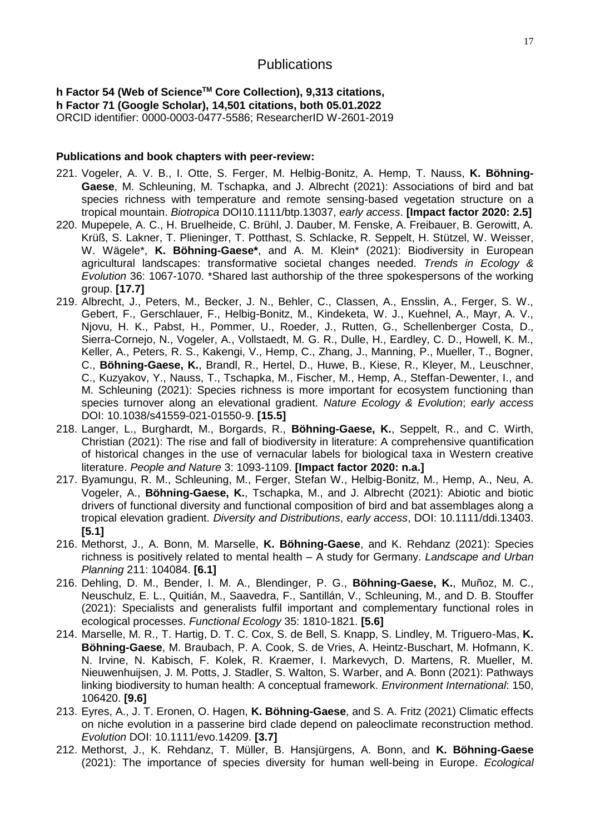# **Publications**

**h Factor 54 (Web of ScienceTM Core Collection), 9,313 citations, h Factor 71 (Google Scholar), 14,501 citations, both 05.01.2022** ORCID identifier: 0000-0003-0477-5586; ResearcherID W-2601-2019

#### **Publications and book chapters with peer-review:**

- 221. Vogeler, A. V. B., I. Otte, S. Ferger, M. Helbig-Bonitz, A. Hemp, T. Nauss, **K. Böhning-Gaese**, M. Schleuning, M. Tschapka, and J. Albrecht (2021): Associations of bird and bat species richness with temperature and remote sensing-based vegetation structure on a tropical mountain. *Biotropica* DOI10.1111/btp.13037, *early access*. **[Impact factor 2020: 2.5]**
- 220. Mupepele, A. C., H. Bruelheide, C. Brühl, J. Dauber, M. Fenske, A. Freibauer, B. Gerowitt, A. Krüß, S. Lakner, T. Plieninger, T. Potthast, S. Schlacke, R. Seppelt, H. Stützel, W. Weisser, W. Wägele\*, **K. Böhning-Gaese\***, and A. M. Klein\* (2021): Biodiversity in European agricultural landscapes: transformative societal changes needed. *Trends in Ecology & Evolution* 36: 1067-1070. \*Shared last authorship of the three spokespersons of the working group. **[17.7]**
- 219. Albrecht, J., Peters, M., Becker, J. N., Behler, C., Classen, A., Ensslin, A., Ferger, S. W., Gebert, F., Gerschlauer, F., Helbig-Bonitz, M., Kindeketa, W. J., Kuehnel, A., Mayr, A. V., Njovu, H. K., Pabst, H., Pommer, U., Roeder, J., Rutten, G., Schellenberger Costa, D., Sierra-Cornejo, N., Vogeler, A., Vollstaedt, M. G. R., Dulle, H., Eardley, C. D., Howell, K. M., Keller, A., Peters, R. S., Kakengi, V., Hemp, C., Zhang, J., Manning, P., Mueller, T., Bogner, C., **Böhning-Gaese, K.**, Brandl, R., Hertel, D., Huwe, B., Kiese, R., Kleyer, M., Leuschner, C., Kuzyakov, Y., Nauss, T., Tschapka, M., Fischer, M., Hemp, A., Steffan-Dewenter, I., and M. Schleuning (2021): Species richness is more important for ecosystem functioning than species turnover along an elevational gradient. *Nature Ecology & Evolution*; *early access* DOI: 10.1038/s41559-021-01550-9. **[15.5]**
- 218. Langer, L., Burghardt, M., Borgards, R., **Böhning-Gaese, K.**, Seppelt, R., and C. Wirth, Christian (2021): The rise and fall of biodiversity in literature: A comprehensive quantification of historical changes in the use of vernacular labels for biological taxa in Western creative literature. *People and Nature* 3: 1093-1109. **[Impact factor 2020: n.a.]**
- 217. Byamungu, R. M., Schleuning, M., Ferger, Stefan W., Helbig-Bonitz, M., Hemp, A., Neu, A. Vogeler, A., **Böhning-Gaese, K.**, Tschapka, M., and J. Albrecht (2021): Abiotic and biotic drivers of functional diversity and functional composition of bird and bat assemblages along a tropical elevation gradient. *Diversity and Distributions*, *early access*, DOI: 10.1111/ddi.13403. **[5.1]**
- 216. Methorst, J., A. Bonn, M. Marselle, **K. Böhning-Gaese**, and K. Rehdanz (2021): Species richness is positively related to mental health – A study for Germany. *Landscape and Urban Planning* 211: 104084. **[6.1]**
- 216. [Dehling, D. M.](http://apps.webofknowledge.com.proxy.ub.uni-frankfurt.de/OutboundService.do?SID=D6WqcOtsfJ1vg2hzpo2&mode=rrcAuthorRecordService&action=go&product=WOS&lang=en_US&daisIds=44513418), [Bender, I. M. A.](http://apps.webofknowledge.com.proxy.ub.uni-frankfurt.de/OutboundService.do?SID=D6WqcOtsfJ1vg2hzpo2&mode=rrcAuthorRecordService&action=go&product=WOS&lang=en_US&daisIds=13618529), [Blendinger, P. G.](http://apps.webofknowledge.com.proxy.ub.uni-frankfurt.de/OutboundService.do?SID=D6WqcOtsfJ1vg2hzpo2&mode=rrcAuthorRecordService&action=go&product=WOS&lang=en_US&daisIds=1268209), **[Böhning-Gaese, K.](http://apps.webofknowledge.com.proxy.ub.uni-frankfurt.de/OutboundService.do?SID=D6WqcOtsfJ1vg2hzpo2&mode=rrcAuthorRecordService&action=go&product=WOS&lang=en_US&daisIds=199881)**, Muñoz, M. C., [Neuschulz, E. L.](http://apps.webofknowledge.com.proxy.ub.uni-frankfurt.de/OutboundService.do?SID=D6WqcOtsfJ1vg2hzpo2&mode=rrcAuthorRecordService&action=go&product=WOS&lang=en_US&daisIds=2871696), Quitián, M., [Saavedra, F.](http://apps.webofknowledge.com.proxy.ub.uni-frankfurt.de/OutboundService.do?SID=D6WqcOtsfJ1vg2hzpo2&mode=rrcAuthorRecordService&action=go&product=WOS&lang=en_US&daisIds=28172790), Santillán, V., [Schleuning, M.](http://apps.webofknowledge.com.proxy.ub.uni-frankfurt.de/OutboundService.do?SID=D6WqcOtsfJ1vg2hzpo2&mode=rrcAuthorRecordService&action=go&product=WOS&lang=en_US&daisIds=35373157), and D. B. [Stouffer](http://apps.webofknowledge.com.proxy.ub.uni-frankfurt.de/OutboundService.do?SID=D6WqcOtsfJ1vg2hzpo2&mode=rrcAuthorRecordService&action=go&product=WOS&lang=en_US&daisIds=853716)  [\(2021\): S](http://apps.webofknowledge.com.proxy.ub.uni-frankfurt.de/OutboundService.do?SID=D6WqcOtsfJ1vg2hzpo2&mode=rrcAuthorRecordService&action=go&product=WOS&lang=en_US&daisIds=853716)pecialists and generalists fulfil important and complementary functional roles in ecological processes. *Functional Ecology* 35: 1810-1821. **[5.6]**
- 214. Marselle, M. R., T. Hartig, D. T. C. Cox, S. de Bell, S. Knapp, S. Lindley, M. Triguero-Mas, **K. Böhning-Gaese**, M. Braubach, P. A. Cook, S. de Vries, A. Heintz-Buschart, M. Hofmann, K. N. Irvine, N. Kabisch, F. Kolek, R. Kraemer, I. Markevych, D. Martens, R. Mueller, M. Nieuwenhuijsen, J. M. Potts, J. Stadler, S. Walton, S. Warber, and A. Bonn (2021): Pathways linking biodiversity to human health: A conceptual framework. *Environment International*: 150, 106420. **[9.6]**
- 213. Eyres, A., J. T. Eronen, O. Hagen, **K. Böhning-Gaese**, and S. A. Fritz (2021) Climatic effects on niche evolution in a passerine bird clade depend on paleoclimate reconstruction method. *Evolution* DOI: 10.1111/evo.14209. **[3.7]**
- 212. Methorst, J., K. Rehdanz, T. Müller, B. Hansjürgens, A. Bonn, and **K. Böhning-Gaese** (2021): The importance of species diversity for human well-being in Europe. *Ecological*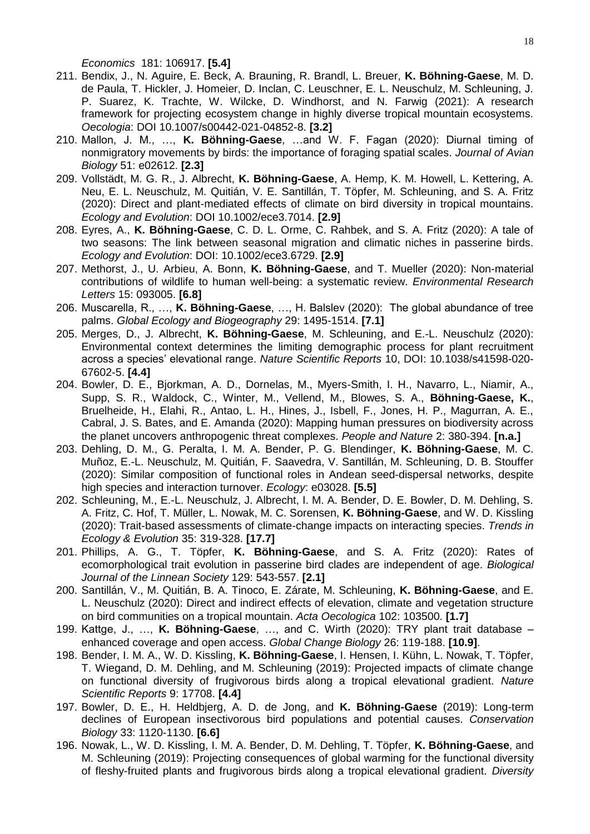*Economics* 181: 106917. **[5.4]**

- 211. Bendix, J., N. Aguire, E. Beck, A. Brauning, R. Brandl, L. Breuer, **K. Böhning-Gaese**, M. D. de Paula, T. Hickler, J. Homeier, D. Inclan, C. Leuschner, E. L. Neuschulz, M. Schleuning, J. P. Suarez, K. Trachte, W. Wilcke, D. Windhorst, and N. Farwig (2021): A research framework for projecting ecosystem change in highly diverse tropical mountain ecosystems. *Oecologia*: DOI 10.1007/s00442-021-04852-8. **[3.2]**
- 210. Mallon, J. M., …, **K. Böhning-Gaese**, …and W. F. Fagan (2020): Diurnal timing of nonmigratory movements by birds: the importance of foraging spatial scales. *Journal of Avian Biology* 51: e02612. **[2.3]**
- 209. Vollstädt, M. G. R., J. Albrecht, **K. Böhning-Gaese**, A. Hemp, K. M. Howell, L. Kettering, A. Neu, E. L. Neuschulz, M. Quitián, V. E. Santillán, T. Töpfer, M. Schleuning, and S. A. Fritz (2020): Direct and plant-mediated effects of climate on bird diversity in tropical mountains. *Ecology and Evolution*: DOI 10.1002/ece3.7014. **[2.9]**
- 208. Eyres, A., **K. Böhning-Gaese**, C. D. L. Orme, C. Rahbek, and S. A. Fritz (2020): A tale of two seasons: The link between seasonal migration and climatic niches in passerine birds. *Ecology and Evolution*: DOI: 10.1002/ece3.6729. **[2.9]**
- 207. Methorst, J., U. Arbieu, A. Bonn, **K. Böhning-Gaese**, and T. Mueller (2020): Non-material contributions of wildlife to human well-being: a systematic review. *Environmental Research Letters* 15: 093005. **[6.8]**
- 206. Muscarella, R., …, **K. Böhning-Gaese**, …, H. Balslev (2020): The global abundance of tree palms. *Global Ecology and Biogeography* 29: 1495-1514. **[7.1]**
- 205. Merges, D., J. Albrecht, **K. Böhning-Gaese**, M. Schleuning, and E.-L. Neuschulz (2020): Environmental context determines the limiting demographic process for plant recruitment across a species' elevational range. *Nature Scientific Reports* 10, DOI: 10.1038/s41598-020- 67602-5. **[4.4]**
- 204. Bowler, D. E., Bjorkman, A. D., Dornelas, M., Myers-Smith, I. H., Navarro, L., Niamir, A., Supp, S. R., Waldock, C., Winter, M., Vellend, M., Blowes, S. A., **Böhning-Gaese, K.**, Bruelheide, H., Elahi, R., Antao, L. H., Hines, J., Isbell, F., Jones, H. P., Magurran, A. E., Cabral, J. S. Bates, and E. Amanda (2020): Mapping human pressures on biodiversity across the planet uncovers anthropogenic threat complexes. *People and Nature* 2: 380-394. **[n.a.]**
- 203. Dehling, D. M., G. Peralta, I. M. A. Bender, P. G. Blendinger, **K. Böhning-Gaese**, M. C. Muñoz, E.-L. Neuschulz, M. Quitián, F. Saavedra, V. Santillán, M. Schleuning, D. B. Stouffer (2020): Similar composition of functional roles in Andean seed-dispersal networks, despite high species and interaction turnover. *Ecology*: e03028. **[5.5]**
- 202. Schleuning, M., E.-L. Neuschulz, J. Albrecht, I. M. A. Bender, D. E. Bowler, D. M. Dehling, S. A. Fritz, C. Hof, T. Müller, L. Nowak, M. C. Sorensen, **K. Böhning-Gaese**, and W. D. Kissling (2020): Trait-based assessments of climate-change impacts on interacting species. *Trends in Ecology & Evolution* 35: 319-328. **[17.7]**
- 201. Phillips, A. G., T. Töpfer, **K. Böhning-Gaese**, and S. A. Fritz (2020): Rates of ecomorphological trait evolution in passerine bird clades are independent of age. *Biological Journal of the Linnean Society* 129: 543-557. **[2.1]**
- 200. Santillán, V., M. Quitián, B. A. Tinoco, E. Zárate, M. Schleuning, **K. Böhning-Gaese**, and E. L. Neuschulz (2020): Direct and indirect effects of elevation, climate and vegetation structure on bird communities on a tropical mountain. *Acta Oecologica* 102: 103500. **[1.7]**
- 199. Kattge, J., …, **K. Böhning-Gaese**, …, and C. Wirth (2020): TRY plant trait database enhanced coverage and open access. *Global Change Biology* 26: 119-188. **[10.9]**.
- 198. Bender, I. M. A., W. D. Kissling, **K. Böhning-Gaese**, I. Hensen, I. Kühn, L. Nowak, T. Töpfer, T. Wiegand, D. M. Dehling, and M. Schleuning (2019): Projected impacts of climate change on functional diversity of frugivorous birds along a tropical elevational gradient. *Nature Scientific Reports* 9: 17708. **[4.4]**
- 197. Bowler, D. E., H. Heldbjerg, A. D. de Jong, and **K. Böhning-Gaese** (2019): Long-term declines of European insectivorous bird populations and potential causes. *Conservation Biology* 33: 1120-1130. **[6.6]**
- 196. Nowak, L., W. D. Kissling, I. M. A. Bender, D. M. Dehling, T. Töpfer, **K. Böhning-Gaese**, and M. Schleuning (2019): Projecting consequences of global warming for the functional diversity of fleshy-fruited plants and frugivorous birds along a tropical elevational gradient. *Diversity*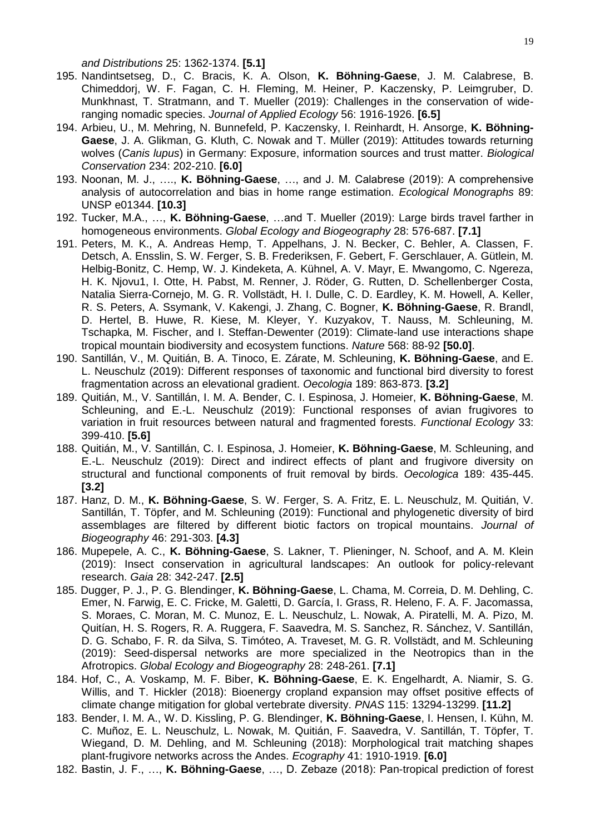*and Distributions* 25: 1362-1374. **[5.1]**

- 195. Nandintsetseg, D., C. Bracis, K. A. Olson, **K. Böhning-Gaese**, J. M. Calabrese, B. Chimeddorj, W. F. Fagan, C. H. Fleming, M. Heiner, P. Kaczensky, P. Leimgruber, D. Munkhnast, T. Stratmann, and T. Mueller (2019): Challenges in the conservation of wideranging nomadic species. *Journal of Applied Ecology* 56: 1916-1926. **[6.5]**
- 194. Arbieu, U., M. Mehring, N. Bunnefeld, P. Kaczensky, I. Reinhardt, H. Ansorge, **K. Böhning-Gaese**, J. A. Glikman, G. Kluth, C. Nowak and T. Müller (2019): Attitudes towards returning wolves (*Canis lupus*) in Germany: Exposure, information sources and trust matter. *Biological Conservation* 234: 202-210. **[6.0]**
- 193. Noonan, M. J., …., **K. Böhning-Gaese**, …, and J. M. Calabrese (2019): A comprehensive analysis of autocorrelation and bias in home range estimation. *Ecological Monographs* 89: UNSP e01344. **[10.3]**
- 192. Tucker, M.A., …, **K. Böhning-Gaese**, …and T. Mueller (2019): Large birds travel farther in homogeneous environments. *Global Ecology and Biogeography* 28: 576-687. **[7.1]**
- 191. Peters, M. K., A. Andreas Hemp, T. Appelhans, J. N. Becker, C. Behler, A. Classen, F. Detsch, A. Ensslin, S. W. Ferger, S. B. Frederiksen, F. Gebert, F. Gerschlauer, A. Gütlein, M. Helbig-Bonitz, C. Hemp, W. J. Kindeketa, A. Kühnel, A. V. Mayr, E. Mwangomo, C. Ngereza, H. K. Njovu1, I. Otte, H. Pabst, M. Renner, J. Röder, G. Rutten, D. Schellenberger Costa, Natalia Sierra-Cornejo, M. G. R. Vollstädt, H. I. Dulle, C. D. Eardley, K. M. Howell, A. Keller, R. S. Peters, A. Ssymank, V. Kakengi, J. Zhang, C. Bogner, **K. Böhning-Gaese**, R. Brandl, D. Hertel, B. Huwe, R. Kiese, M. Kleyer, Y. Kuzyakov, T. Nauss, M. Schleuning, M. Tschapka, M. Fischer, and I. Steffan-Dewenter (2019): Climate-land use interactions shape tropical mountain biodiversity and ecosystem functions. *Nature* 568: 88-92 **[50.0]**.
- 190. Santillán, V., M. Quitián, B. A. Tinoco, E. Zárate, M. Schleuning, **K. Böhning-Gaese**, and E. L. Neuschulz (2019): Different responses of taxonomic and functional bird diversity to forest fragmentation across an elevational gradient. *Oecologia* 189: 863-873. **[3.2]**
- 189. Quitián, M., V. Santillán, I. M. A. Bender, C. I. Espinosa, J. Homeier, **K. Böhning-Gaese**, M. Schleuning, and E.-L. Neuschulz (2019): Functional responses of avian frugivores to variation in fruit resources between natural and fragmented forests. *Functional Ecology* 33: 399-410. **[5.6]**
- 188. Quitián, M., V. Santillán, C. I. Espinosa, J. Homeier, **K. Böhning-Gaese**, M. Schleuning, and E.-L. Neuschulz (2019): Direct and indirect effects of plant and frugivore diversity on structural and functional components of fruit removal by birds. *Oecologica* 189: 435-445. **[3.2]**
- 187. Hanz, D. M., **K. Böhning-Gaese**, S. W. Ferger, S. A. Fritz, E. L. Neuschulz, M. Quitián, V. Santillán, T. Töpfer, and M. Schleuning (2019): Functional and phylogenetic diversity of bird assemblages are filtered by different biotic factors on tropical mountains. *Journal of Biogeography* 46: 291-303. **[4.3]**
- 186. Mupepele, A. C., **K. Böhning-Gaese**, S. Lakner, T. Plieninger, N. Schoof, and A. M. Klein (2019): Insect conservation in agricultural landscapes: An outlook for policy-relevant research. *Gaia* 28: 342-247. **[2.5]**
- 185. Dugger, P. J., P. G. Blendinger, **K. Böhning-Gaese**, L. Chama, M. Correia, D. M. Dehling, C. Emer, N. Farwig, E. C. Fricke, M. Galetti, D. García, I. Grass, R. Heleno, F. A. F. Jacomassa, S. Moraes, C. Moran, M. C. Munoz, E. L. Neuschulz, L. Nowak, A. Piratelli, M. A. Pizo, M. Quitían, H. S. Rogers, R. A. Ruggera, F. Saavedra, M. S. Sanchez, R. Sánchez, V. Santillán, D. G. Schabo, F. R. da Silva, S. Timóteo, A. Traveset, M. G. R. Vollstädt, and M. Schleuning (2019): Seed-dispersal networks are more specialized in the Neotropics than in the Afrotropics. *Global Ecology and Biogeography* 28: 248-261. **[7.1]**
- 184. Hof, C., A. Voskamp, M. F. Biber, **K. Böhning-Gaese**, E. K. Engelhardt, A. Niamir, S. G. Willis, and T. Hickler (2018): Bioenergy cropland expansion may offset positive effects of climate change mitigation for global vertebrate diversity. *PNAS* 115: 13294-13299. **[11.2]**
- 183. Bender, I. M. A., W. D. Kissling, P. G. Blendinger, **K. Böhning-Gaese**, I. Hensen, I. Kühn, M. C. Muñoz, E. L. Neuschulz, L. Nowak, M. Quitián, F. Saavedra, V. Santillán, T. Töpfer, T. Wiegand, D. M. Dehling, and M. Schleuning (2018): Morphological trait matching shapes plant-frugivore networks across the Andes. *Ecography* 41: 1910-1919. **[6.0]**
- 182. Bastin, J. F., …, **K. Böhning-Gaese**, …, D. Zebaze (2018): Pan-tropical prediction of forest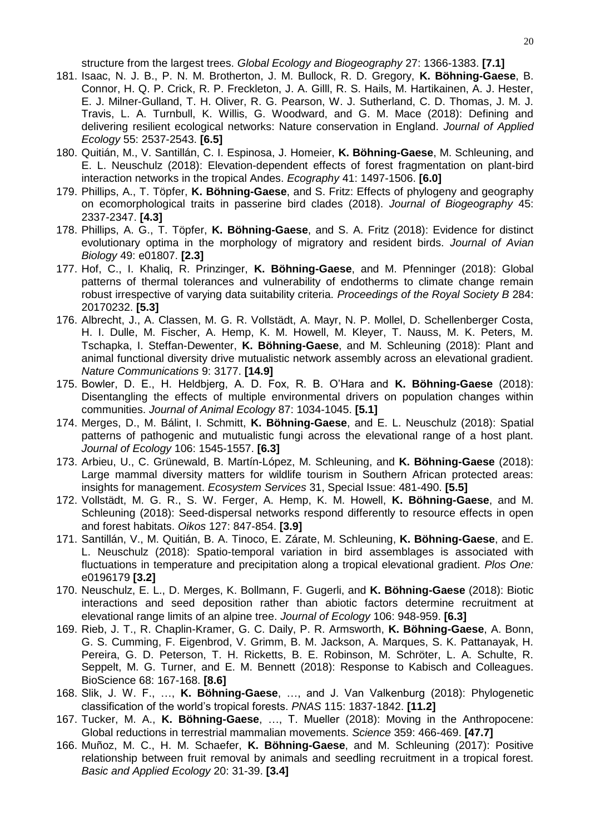structure from the largest trees. *Global Ecology and Biogeography* 27: 1366-1383. **[7.1]**

- 181. Isaac, N. J. B., P. N. M. Brotherton, J. M. Bullock, R. D. Gregory, **K. Böhning-Gaese**, B. Connor, H. Q. P. Crick, R. P. Freckleton, J. A. Gilll, R. S. Hails, M. Hartikainen, A. J. Hester, E. J. Milner-Gulland, T. H. Oliver, R. G. Pearson, W. J. Sutherland, C. D. Thomas, J. M. J. Travis, L. A. Turnbull, K. Willis, G. Woodward, and G. M. Mace (2018): Defining and delivering resilient ecological networks: Nature conservation in England. *Journal of Applied Ecology* 55: 2537-2543. **[6.5]**
- 180. Quitián, M., V. Santillán, C. I. Espinosa, J. Homeier, **K. Böhning-Gaese**, M. Schleuning, and E. L. Neuschulz (2018): Elevation-dependent effects of forest fragmentation on plant-bird interaction networks in the tropical Andes. *Ecography* 41: 1497-1506. **[6.0]**
- 179. Phillips, A., T. Töpfer, **K. Böhning-Gaese**, and S. Fritz: Effects of phylogeny and geography on ecomorphological traits in passerine bird clades (2018). *Journal of Biogeography* 45: 2337-2347. **[4.3]**
- 178. Phillips, A. G., T. Töpfer, **K. Böhning-Gaese**, and S. A. Fritz (2018): Evidence for distinct evolutionary optima in the morphology of migratory and resident birds. *Journal of Avian Biology* 49: e01807. **[2.3]**
- 177. Hof, C., I. Khaliq, R. Prinzinger, **K. Böhning-Gaese**, and M. Pfenninger (2018): Global patterns of thermal tolerances and vulnerability of endotherms to climate change remain robust irrespective of varying data suitability criteria. *Proceedings of the Royal Society B* 284: 20170232. **[5.3]**
- 176. Albrecht, J., A. Classen, M. G. R. Vollstädt, A. Mayr, N. P. Mollel, D. Schellenberger Costa, H. I. Dulle, M. Fischer, A. Hemp, K. M. Howell, M. Kleyer, T. Nauss, M. K. Peters, M. Tschapka, I. Steffan-Dewenter, **K. Böhning-Gaese**, and M. Schleuning (2018): Plant and animal functional diversity drive mutualistic network assembly across an elevational gradient. *Nature Communications* 9: 3177. **[14.9]**
- 175. Bowler, D. E., H. Heldbjerg, A. D. Fox, R. B. O'Hara and **K. Böhning-Gaese** (2018): Disentangling the effects of multiple environmental drivers on population changes within communities. *Journal of Animal Ecology* 87: 1034-1045. **[5.1]**
- 174. Merges, D., M. Bálint, I. Schmitt, **K. Böhning-Gaese**, and E. L. Neuschulz (2018): Spatial patterns of pathogenic and mutualistic fungi across the elevational range of a host plant. *Journal of Ecology* 106: 1545-1557. **[6.3]**
- 173. Arbieu, U., C. Grünewald, B. Martín-López, M. Schleuning, and **K. Böhning-Gaese** (2018): Large mammal diversity matters for wildlife tourism in Southern African protected areas: insights for management. *Ecosystem Services* 31, Special Issue: 481-490. **[5.5]**
- 172. Vollstädt, M. G. R., S. W. Ferger, A. Hemp, K. M. Howell, **K. Böhning-Gaese**, and M. Schleuning (2018): Seed-dispersal networks respond differently to resource effects in open and forest habitats. *Oikos* 127: 847-854. **[3.9]**
- 171. Santillán, V., M. Quitián, B. A. Tinoco, E. Zárate, M. Schleuning, **K. Böhning-Gaese**, and E. L. Neuschulz (2018): Spatio-temporal variation in bird assemblages is associated with fluctuations in temperature and precipitation along a tropical elevational gradient. *Plos One:*  e0196179 **[3.2]**
- 170. Neuschulz, E. L., D. Merges, K. Bollmann, F. Gugerli, and **K. Böhning-Gaese** (2018): Biotic interactions and seed deposition rather than abiotic factors determine recruitment at elevational range limits of an alpine tree. *Journal of Ecology* 106: 948-959. **[6.3]**
- 169. Rieb, J. T., R. Chaplin-Kramer, G. C. Daily, P. R. Armsworth, **K. Böhning-Gaese**, A. Bonn, G. S. Cumming, F. Eigenbrod, V. Grimm, B. M. Jackson, A. Marques, S. K. Pattanayak, H. Pereira, G. D. Peterson, T. H. Ricketts, B. E. Robinson, M. Schröter, L. A. Schulte, R. Seppelt, M. G. Turner, and E. M. Bennett (2018): Response to Kabisch and Colleagues. BioScience 68: 167-168. **[8.6]**
- 168. Slik, J. W. F., …, **K. Böhning-Gaese**, …, and J. Van Valkenburg (2018): Phylogenetic classification of the world's tropical forests. *PNAS* 115: 1837-1842. **[11.2]**
- 167. Tucker, M. A., **K. Böhning-Gaese**, …, T. Mueller (2018): Moving in the Anthropocene: Global reductions in terrestrial mammalian movements. *Science* 359: 466-469. **[47.7]**
- 166. Muñoz, M. C., H. M. Schaefer, **K. Böhning-Gaese**, and M. Schleuning (2017): Positive relationship between fruit removal by animals and seedling recruitment in a tropical forest. *Basic and Applied Ecology* 20: 31-39. **[3.4]**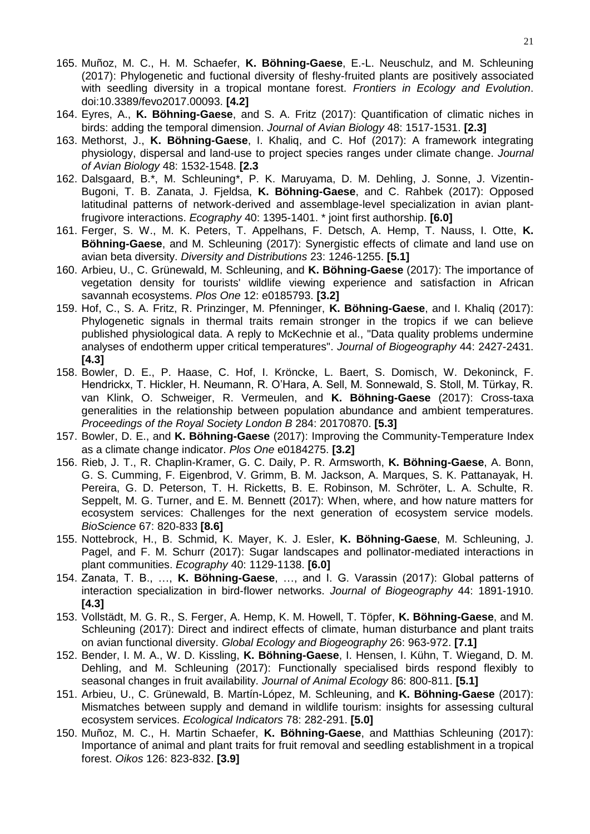- 165. Muñoz, M. C., H. M. Schaefer, **K. Böhning-Gaese**, E.-L. Neuschulz, and M. Schleuning (2017): Phylogenetic and fuctional diversity of fleshy-fruited plants are positively associated with seedling diversity in a tropical montane forest. *Frontiers in Ecology and Evolution*. doi:10.3389/fevo2017.00093. **[4.2]**
- 164. Eyres, A., **K. Böhning-Gaese**, and S. A. Fritz (2017): Quantification of climatic niches in birds: adding the temporal dimension. *Journal of Avian Biology* 48: 1517-1531. **[2.3]**
- 163. Methorst, J., **K. Böhning-Gaese**, I. Khaliq, and C. Hof (2017): A framework integrating physiology, dispersal and land-use to project species ranges under climate change. *Journal of Avian Biology* 48: 1532-1548. **[2.3**
- 162. Dalsgaard, B.\*, M. Schleuning\*, P. K. Maruyama, D. M. Dehling, J. Sonne, J. Vizentin-Bugoni, T. B. Zanata, J. Fjeldsa, **K. Böhning-Gaese**, and C. Rahbek (2017): Opposed latitudinal patterns of network-derived and assemblage-level specialization in avian plantfrugivore interactions. *Ecography* 40: 1395-1401. \* joint first authorship. **[6.0]**
- 161. Ferger, S. W., M. K. Peters, T. Appelhans, F. Detsch, A. Hemp, T. Nauss, I. Otte, **K. Böhning-Gaese**, and M. Schleuning (2017): Synergistic effects of climate and land use on avian beta diversity. *Diversity and Distributions* 23: 1246-1255. **[5.1]**
- 160. Arbieu, U., C. Grünewald, M. Schleuning, and **K. Böhning-Gaese** (2017): The importance of vegetation density for tourists' wildlife viewing experience and satisfaction in African savannah ecosystems. *Plos One* 12: e0185793. **[3.2]**
- 159. Hof, C., S. A. Fritz, R. Prinzinger, M. Pfenninger, **K. Böhning-Gaese**, and I. Khaliq (2017): Phylogenetic signals in thermal traits remain stronger in the tropics if we can believe published physiological data. A reply to McKechnie et al., "Data quality problems undermine analyses of endotherm upper critical temperatures". *Journal of Biogeography* 44: 2427-2431. **[4.3]**
- 158. Bowler, D. E., P. Haase, C. Hof, I. Kröncke, L. Baert, S. Domisch, W. Dekoninck, F. Hendrickx, T. Hickler, H. Neumann, R. O'Hara, A. Sell, M. Sonnewald, S. Stoll, M. Türkay, R. van Klink, O. Schweiger, R. Vermeulen, and **K. Böhning-Gaese** (2017): Cross-taxa generalities in the relationship between population abundance and ambient temperatures. *Proceedings of the Royal Society London B* 284: 20170870. **[5.3]**
- 157. Bowler, D. E., and **K. Böhning-Gaese** (2017): Improving the Community-Temperature Index as a climate change indicator. *Plos One* e0184275. **[3.2]**
- 156. Rieb, J. T., R. Chaplin-Kramer, G. C. Daily, P. R. Armsworth, **K. Böhning-Gaese**, A. Bonn, G. S. Cumming, F. Eigenbrod, V. Grimm, B. M. Jackson, A. Marques, S. K. Pattanayak, H. Pereira, G. D. Peterson, T. H. Ricketts, B. E. Robinson, M. Schröter, L. A. Schulte, R. Seppelt, M. G. Turner, and E. M. Bennett (2017): When, where, and how nature matters for ecosystem services: Challenges for the next generation of ecosystem service models. *BioScience* 67: 820-833 **[8.6]**
- 155. Nottebrock, H., B. Schmid, K. Mayer, K. J. Esler, **K. Böhning-Gaese**, M. Schleuning, J. Pagel, and F. M. Schurr (2017): Sugar landscapes and pollinator-mediated interactions in plant communities. *Ecography* 40: 1129-1138. **[6.0]**
- 154. Zanata, T. B., …, **K. Böhning-Gaese**, …, and I. G. Varassin (2017): Global patterns of interaction specialization in bird-flower networks. *Journal of Biogeography* 44: 1891-1910. **[4.3]**
- 153. Vollstädt, M. G. R., S. Ferger, A. Hemp, K. M. Howell, T. Töpfer, **K. Böhning-Gaese**, and M. Schleuning (2017): Direct and indirect effects of climate, human disturbance and plant traits on avian functional diversity. *Global Ecology and Biogeography* 26: 963-972. **[7.1]**
- 152. Bender, I. M. A., W. D. Kissling, **K. Böhning-Gaese**, I. Hensen, I. Kühn, T. Wiegand, D. M. Dehling, and M. Schleuning (2017): Functionally specialised birds respond flexibly to seasonal changes in fruit availability. *Journal of Animal Ecology* 86: 800-811. **[5.1]**
- 151. Arbieu, U., C. Grünewald, B. Martín-López, M. Schleuning, and **K. Böhning-Gaese** (2017): Mismatches between supply and demand in wildlife tourism: insights for assessing cultural ecosystem services. *Ecological Indicators* 78: 282-291. **[5.0]**
- 150. Muñoz, M. C., H. Martin Schaefer, **K. Böhning-Gaese**, and Matthias Schleuning (2017): Importance of animal and plant traits for fruit removal and seedling establishment in a tropical forest. *Oikos* 126: 823-832. **[3.9]**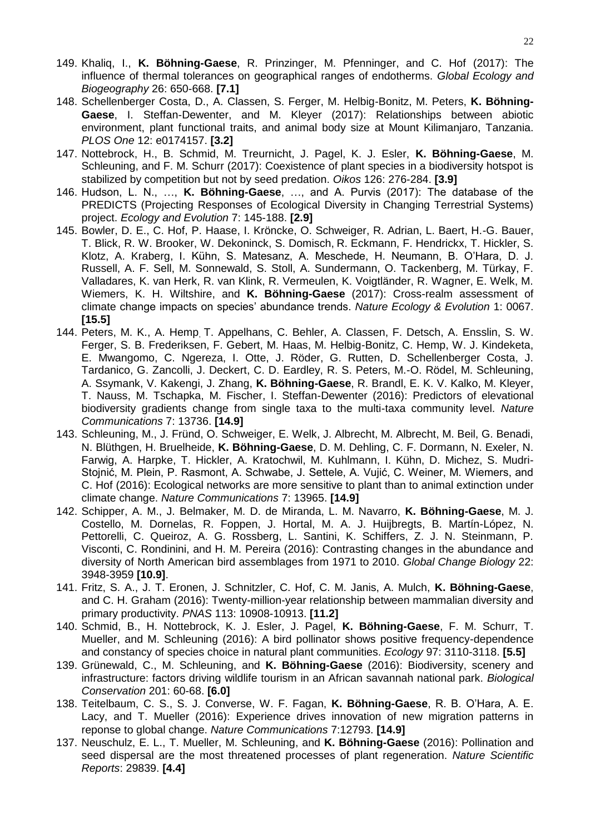- 149. Khaliq, I., **K. Böhning-Gaese**, R. Prinzinger, M. Pfenninger, and C. Hof (2017): The influence of thermal tolerances on geographical ranges of endotherms. *Global Ecology and Biogeography* 26: 650-668. **[7.1]**
- 148. Schellenberger Costa, D., A. Classen, S. Ferger, M. Helbig-Bonitz, M. Peters, **K. Böhning-Gaese**, I. Steffan-Dewenter, and M. Kleyer (2017): Relationships between abiotic environment, plant functional traits, and animal body size at Mount Kilimanjaro, Tanzania. *PLOS One* 12: e0174157. **[3.2]**
- 147. Nottebrock, H., B. Schmid, M. Treurnicht, J. Pagel, K. J. Esler, **K. Böhning-Gaese**, M. Schleuning, and F. M. Schurr (2017): Coexistence of plant species in a biodiversity hotspot is stabilized by competition but not by seed predation. *Oikos* 126: 276-284. **[3.9]**
- 146. Hudson, L. N., …, **K. Böhning-Gaese**, …, and A. Purvis (2017): The database of the PREDICTS (Projecting Responses of Ecological Diversity in Changing Terrestrial Systems) project. *Ecology and Evolution* 7: 145-188. **[2.9]**
- 145. Bowler, D. E., C. Hof, P. Haase, I. Kröncke, O. Schweiger, R. Adrian, L. Baert, H.-G. Bauer, T. Blick, R. W. Brooker, W. Dekoninck, S. Domisch, R. Eckmann, F. Hendrickx, T. Hickler, S. Klotz, A. Kraberg, I. Kühn, S. Matesanz, A. Meschede, H. Neumann, B. O'Hara, D. J. Russell, A. F. Sell, M. Sonnewald, S. Stoll, A. Sundermann, O. Tackenberg, M. Türkay, F. Valladares, K. van Herk, R. van Klink, R. Vermeulen, K. Voigtländer, R. Wagner, E. Welk, M. Wiemers, K. H. Wiltshire, and **K. Böhning-Gaese** (2017): Cross-realm assessment of climate change impacts on species' abundance trends. *Nature Ecology & Evolution* 1: 0067. **[15.5]**
- 144. Peters, M. K., A. Hemp, T. Appelhans, C. Behler, A. Classen, F. Detsch, A. Ensslin, S. W. Ferger, S. B. Frederiksen, F. Gebert, M. Haas, M. Helbig-Bonitz, C. Hemp, W. J. Kindeketa, E. Mwangomo, C. Ngereza, I. Otte, J. Röder, G. Rutten, D. Schellenberger Costa, J. Tardanico, G. Zancolli, J. Deckert, C. D. Eardley, R. S. Peters, M.-O. Rödel, M. Schleuning, A. Ssymank, V. Kakengi, J. Zhang, **K. Böhning-Gaese**, R. Brandl, E. K. V. Kalko, M. Kleyer, T. Nauss, M. Tschapka, M. Fischer, I. Steffan-Dewenter (2016): Predictors of elevational biodiversity gradients change from single taxa to the multi-taxa community level. *Nature Communications* 7: 13736. **[14.9]**
- 143. Schleuning, M., J. Fründ, O. Schweiger, E. Welk, J. Albrecht, M. Albrecht, M. Beil, G. Benadi, N. Blüthgen, H. Bruelheide, **K. Böhning-Gaese**, D. M. Dehling, C. F. Dormann, N. Exeler, N. Farwig, A. Harpke, T. Hickler, A. Kratochwil, M. Kuhlmann, I. Kühn, D. Michez, S. Mudri-Stojnić, M. Plein, P. Rasmont, A. Schwabe, J. Settele, A. Vujić, C. Weiner, M. Wiemers, and C. Hof (2016): Ecological networks are more sensitive to plant than to animal extinction under climate change. *Nature Communications* 7: 13965. **[14.9]**
- 142. Schipper, A. M., J. Belmaker, M. D. de Miranda, L. M. Navarro, **K. Böhning-Gaese**, M. J. Costello, M. Dornelas, R. Foppen, J. Hortal, M. A. J. Huijbregts, B. Martín-López, N. Pettorelli, C. Queiroz, A. G. Rossberg, L. Santini, K. Schiffers, Z. J. N. Steinmann, P. Visconti, C. Rondinini, and H. M. Pereira (2016): Contrasting changes in the abundance and diversity of North American bird assemblages from 1971 to 2010. *Global Change Biology* 22: 3948-3959 **[10.9]**.
- 141. Fritz, S. A., J. T. Eronen, J. Schnitzler, C. Hof, C. M. Janis, A. Mulch, **K. Böhning-Gaese**, and C. H. Graham (2016): Twenty-million-year relationship between mammalian diversity and primary productivity. *PNAS* 113: 10908-10913. **[11.2]**
- 140. Schmid, B., H. Nottebrock, K. J. Esler, J. Pagel, **K. Böhning-Gaese**, F. M. Schurr, T. Mueller, and M. Schleuning (2016): A bird pollinator shows positive frequency-dependence and constancy of species choice in natural plant communities. *Ecology* 97: 3110-3118. **[5.5]**
- 139. Grünewald, C., M. Schleuning, and **K. Böhning-Gaese** (2016): Biodiversity, scenery and infrastructure: factors driving wildlife tourism in an African savannah national park. *Biological Conservation* 201: 60-68. **[6.0]**
- 138. Teitelbaum, C. S., S. J. Converse, W. F. Fagan, **K. Böhning-Gaese**, R. B. O'Hara, A. E. Lacy, and T. Mueller (2016): Experience drives innovation of new migration patterns in reponse to global change. *Nature Communications* 7:12793. **[14.9]**
- 137. Neuschulz, E. L., T. Mueller, M. Schleuning, and **K. Böhning-Gaese** (2016): Pollination and seed dispersal are the most threatened processes of plant regeneration. *Nature Scientific Reports*: 29839. **[4.4]**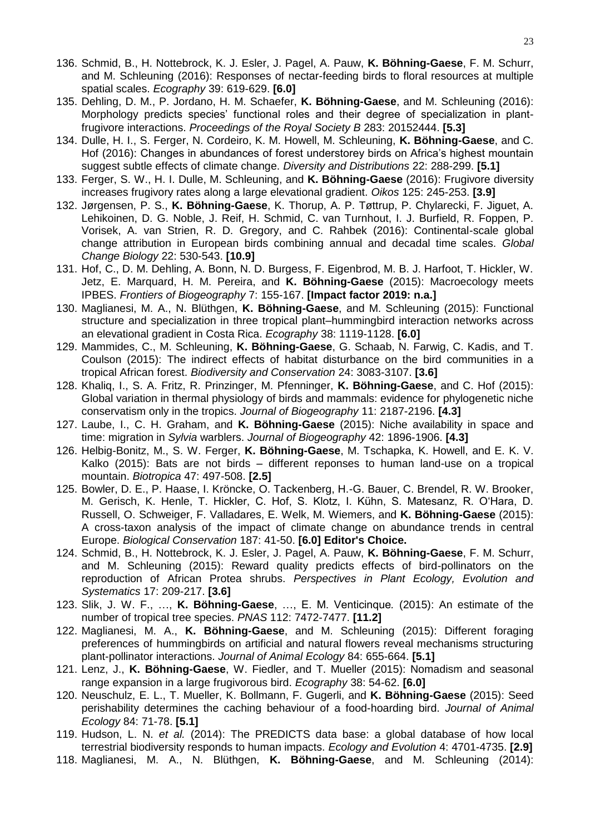- 136. Schmid, B., H. Nottebrock, K. J. Esler, J. Pagel, A. Pauw, **K. Böhning-Gaese**, F. M. Schurr, and M. Schleuning (2016): Responses of nectar-feeding birds to floral resources at multiple spatial scales. *Ecography* 39: 619-629. **[6.0]**
- 135. Dehling, D. M., P. Jordano, H. M. Schaefer, **K. Böhning-Gaese**, and M. Schleuning (2016): Morphology predicts species' functional roles and their degree of specialization in plantfrugivore interactions. *Proceedings of the Royal Society B* 283: 20152444. **[5.3]**
- 134. Dulle, H. I., S. Ferger, N. Cordeiro, K. M. Howell, M. Schleuning, **K. Böhning-Gaese**, and C. Hof (2016): Changes in abundances of forest understorey birds on Africa's highest mountain suggest subtle effects of climate change. *Diversity and Distributions* 22: 288-299. **[5.1]**
- 133. Ferger, S. W., H. I. Dulle, M. Schleuning, and **K. Böhning-Gaese** (2016): Frugivore diversity increases frugivory rates along a large elevational gradient. *Oikos* 125: 245-253. **[3.9]**
- 132. Jørgensen, P. S., **K. Böhning-Gaese**, K. Thorup, A. P. Tøttrup, P. Chylarecki, F. Jiguet, A. Lehikoinen, D. G. Noble, J. Reif, H. Schmid, C. van Turnhout, I. J. Burfield, R. Foppen, P. Vorisek, A. van Strien, R. D. Gregory, and C. Rahbek (2016): Continental-scale global change attribution in European birds combining annual and decadal time scales. *Global Change Biology* 22: 530-543. **[10.9]**
- 131. Hof, C., D. M. Dehling, A. Bonn, N. D. Burgess, F. Eigenbrod, M. B. J. Harfoot, T. Hickler, W. Jetz, E. Marquard, H. M. Pereira, and **K. Böhning-Gaese** (2015): Macroecology meets IPBES. *Frontiers of Biogeography* 7: 155-167. **[Impact factor 2019: n.a.]**
- 130. Maglianesi, M. A., N. Blüthgen, **K. Böhning-Gaese**, and M. Schleuning (2015): Functional structure and specialization in three tropical plant–hummingbird interaction networks across an elevational gradient in Costa Rica. *Ecography* 38: 1119-1128. **[6.0]**
- 129. Mammides, C., M. Schleuning, **K. Böhning-Gaese**, G. Schaab, N. Farwig, C. Kadis, and T. Coulson (2015): The indirect effects of habitat disturbance on the bird communities in a tropical African forest. *Biodiversity and Conservation* 24: 3083-3107. **[3.6]**
- 128. Khaliq, I., S. A. Fritz, R. Prinzinger, M. Pfenninger, **K. Böhning-Gaese**, and C. Hof (2015): Global variation in thermal physiology of birds and mammals: evidence for phylogenetic niche conservatism only in the tropics. *Journal of Biogeography* 11: 2187-2196. **[4.3]**
- 127. Laube, I., C. H. Graham, and **K. Böhning-Gaese** (2015): Niche availability in space and time: migration in *Sylvia* warblers. *Journal of Biogeography* 42: 1896-1906. **[4.3]**
- 126. Helbig-Bonitz, M., S. W. Ferger, **K. Böhning-Gaese**, M. Tschapka, K. Howell, and E. K. V. Kalko (2015): Bats are not birds – different reponses to human land-use on a tropical mountain. *Biotropica* 47: 497-508. **[2.5]**
- 125. Bowler, D. E., P. Haase, I. Kröncke, O. Tackenberg, H.-G. Bauer, C. Brendel, R. W. Brooker, M. Gerisch, K. Henle, T. Hickler, C. Hof, S. Klotz, I. Kühn, S. Matesanz, R. O'Hara, D. Russell, O. Schweiger, F. Valladares, E. Welk, M. Wiemers, and **K. Böhning-Gaese** (2015): A cross-taxon analysis of the impact of climate change on abundance trends in central Europe. *Biological Conservation* 187: 41-50. **[6.0] Editor's Choice.**
- 124. Schmid, B., H. Nottebrock, K. J. Esler, J. Pagel, A. Pauw, **K. Böhning-Gaese**, F. M. Schurr, and M. Schleuning (2015): Reward quality predicts effects of bird-pollinators on the reproduction of African Protea shrubs. *Perspectives in Plant Ecology, Evolution and Systematics* 17: 209-217. **[3.6]**
- 123. Slik, J. W. F., …, **K. Böhning-Gaese**, …, E. M. Venticinque*.* (2015): An estimate of the number of tropical tree species. *PNAS* 112: 7472-7477. **[11.2]**
- 122. Maglianesi, M. A., **K. Böhning-Gaese**, and M. Schleuning (2015): Different foraging preferences of hummingbirds on artificial and natural flowers reveal mechanisms structuring plant-pollinator interactions. *Journal of Animal Ecology* 84: 655-664. **[5.1]**
- 121. Lenz, J., **K. Böhning-Gaese**, W. Fiedler, and T. Mueller (2015): Nomadism and seasonal range expansion in a large frugivorous bird. *Ecography* 38: 54-62. **[6.0]**
- 120. Neuschulz, E. L., T. Mueller, K. Bollmann, F. Gugerli, and **K. Böhning-Gaese** (2015): Seed perishability determines the caching behaviour of a food-hoarding bird. *Journal of Animal Ecology* 84: 71-78. **[5.1]**
- 119. Hudson, L. N. *et al.* (2014): The PREDICTS data base: a global database of how local terrestrial biodiversity responds to human impacts. *Ecology and Evolution* 4: 4701-4735. **[2.9]**
- 118. Maglianesi, M. A., N. Blüthgen, **K. Böhning-Gaese**, and M. Schleuning (2014):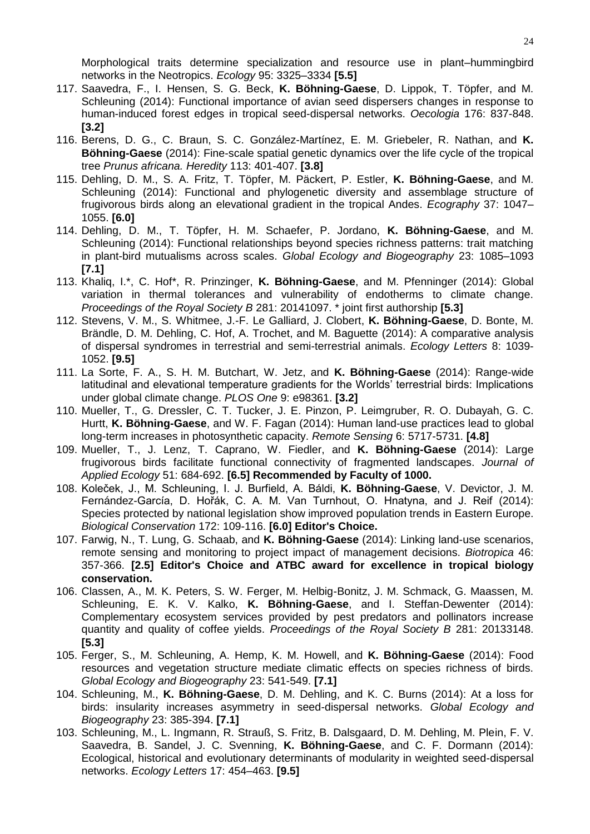Morphological traits determine specialization and resource use in plant–hummingbird networks in the Neotropics. *Ecology* 95: 3325–3334 **[5.5]** 

- 117. Saavedra, F., I. Hensen, S. G. Beck, **K. Böhning-Gaese**, D. Lippok, T. Töpfer, and M. Schleuning (2014): Functional importance of avian seed dispersers changes in response to human-induced forest edges in tropical seed-dispersal networks. *Oecologia* 176: 837-848. **[3.2]**
- 116. Berens, D. G., C. Braun, S. C. González-Martínez, E. M. Griebeler, R. Nathan, and **K. Böhning-Gaese** (2014): Fine-scale spatial genetic dynamics over the life cycle of the tropical tree *Prunus africana. Heredity* 113: 401-407. **[3.8]**
- 115. Dehling, D. M., S. A. Fritz, T. Töpfer, M. Päckert, P. Estler, **K. Böhning-Gaese**, and M. Schleuning (2014): Functional and phylogenetic diversity and assemblage structure of frugivorous birds along an elevational gradient in the tropical Andes. *Ecography* 37: 1047– 1055. **[6.0]**
- 114. Dehling, D. M., T. Töpfer, H. M. Schaefer, P. Jordano, **K. Böhning-Gaese**, and M. Schleuning (2014): Functional relationships beyond species richness patterns: trait matching in plant-bird mutualisms across scales. *Global Ecology and Biogeography* 23: 1085–1093 **[7.1]**
- 113. Khaliq, I.\*, C. Hof\*, R. Prinzinger, **K. Böhning-Gaese**, and M. Pfenninger (2014): Global variation in thermal tolerances and vulnerability of endotherms to climate change. *Proceedings of the Royal Society B* 281: 20141097. \* joint first authorship **[5.3]**
- 112. Stevens, V. M., S. Whitmee, J.-F. Le Galliard, J. Clobert, **K. Böhning-Gaese**, D. Bonte, M. Brändle, D. M. Dehling, C. Hof, A. Trochet, and M. Baguette (2014): A comparative analysis of dispersal syndromes in terrestrial and semi-terrestrial animals. *Ecology Letters* 8: 1039- 1052. **[9.5]**
- 111. La Sorte, F. A., S. H. M. Butchart, W. Jetz, and **K. Böhning-Gaese** (2014): Range-wide latitudinal and elevational temperature gradients for the Worlds' terrestrial birds: Implications under global climate change. *PLOS One* 9: e98361. **[3.2]**
- 110. Mueller, T., G. Dressler, C. T. Tucker, J. E. Pinzon, P. Leimgruber, R. O. Dubayah, G. C. Hurtt, **K. Böhning-Gaese**, and W. F. Fagan (2014): Human land-use practices lead to global long-term increases in photosynthetic capacity. *Remote Sensing* 6: 5717-5731. **[4.8]**
- 109. Mueller, T., J. Lenz, T. Caprano, W. Fiedler, and **K. Böhning-Gaese** (2014): Large frugivorous birds facilitate functional connectivity of fragmented landscapes. *Journal of Applied Ecology* 51: 684-692. **[6.5] Recommended by Faculty of 1000.**
- 108. Koleček, J., M. Schleuning, I. J. Burfield, A. Báldi, **K. Böhning-Gaese**, V. Devictor, J. M. Fernández-García, D. Hořák, C. A. M. Van Turnhout, O. Hnatyna, and J. Reif (2014): Species protected by national legislation show improved population trends in Eastern Europe. *Biological Conservation* 172: 109-116. **[6.0] Editor's Choice.**
- 107. Farwig, N., T. Lung, G. Schaab, and **K. Böhning-Gaese** (2014): Linking land-use scenarios, remote sensing and monitoring to project impact of management decisions. *Biotropica* 46: 357-366. **[2.5] Editor's Choice and ATBC award for excellence in tropical biology conservation.**
- 106. Classen, A., M. K. Peters, S. W. Ferger, M. Helbig-Bonitz, J. M. Schmack, G. Maassen, M. Schleuning, E. K. V. Kalko, **K. Böhning-Gaese**, and I. Steffan-Dewenter (2014): Complementary ecosystem services provided by pest predators and pollinators increase quantity and quality of coffee yields. *Proceedings of the Royal Society B* 281: 20133148. **[5.3]**
- 105. Ferger, S., M. Schleuning, A. Hemp, K. M. Howell, and **K. Böhning-Gaese** (2014): Food resources and vegetation structure mediate climatic effects on species richness of birds. *Global Ecology and Biogeography* 23: 541-549. **[7.1]**
- 104. Schleuning, M., **K. Böhning-Gaese**, D. M. Dehling, and K. C. Burns (2014): At a loss for birds: insularity increases asymmetry in seed-dispersal networks. *Global Ecology and Biogeography* 23: 385-394. **[7.1]**
- 103. Schleuning, M., L. Ingmann, R. Strauß, S. Fritz, B. Dalsgaard, D. M. Dehling, M. Plein, F. V. Saavedra, B. Sandel, J. C. Svenning, **K. Böhning-Gaese**, and C. F. Dormann (2014): Ecological, historical and evolutionary determinants of modularity in weighted seed-dispersal networks. *Ecology Letters* 17: 454–463. **[9.5]**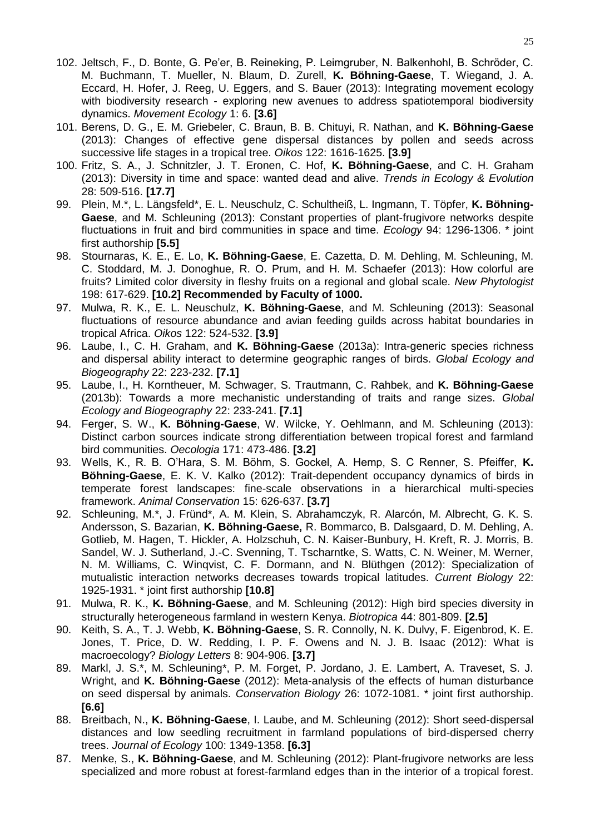- 102. Jeltsch, F., D. Bonte, G. Pe'er, B. Reineking, P. Leimgruber, N. Balkenhohl, B. Schröder, C. M. Buchmann, T. Mueller, N. Blaum, D. Zurell, **K. Böhning-Gaese**, T. Wiegand, J. A. Eccard, H. Hofer, J. Reeg, U. Eggers, and S. Bauer (2013): Integrating movement ecology with biodiversity research - exploring new avenues to address spatiotemporal biodiversity dynamics. *Movement Ecology* 1: 6. **[3.6]**
- 101. Berens, D. G., E. M. Griebeler, C. Braun, B. B. Chituyi, R. Nathan, and **K. Böhning-Gaese** (2013): Changes of effective gene dispersal distances by pollen and seeds across successive life stages in a tropical tree. *Oikos* 122: 1616-1625. **[3.9]**
- 100. Fritz, S. A., J. Schnitzler, J. T. Eronen, C. Hof, **K. Böhning-Gaese**, and C. H. Graham (2013): Diversity in time and space: wanted dead and alive. *Trends in Ecology & Evolution* 28: 509-516. **[17.7]**
- 99. Plein, M.\*, L. Längsfeld\*, E. L. Neuschulz, C. Schultheiß, L. Ingmann, T. Töpfer, **K. Böhning-Gaese**, and M. Schleuning (2013): Constant properties of plant-frugivore networks despite fluctuations in fruit and bird communities in space and time. *Ecology* 94: 1296-1306. \* joint first authorship **[5.5]**
- 98. Stournaras, K. E., E. Lo, **K. Böhning-Gaese**, E. Cazetta, D. M. Dehling, M. Schleuning, M. C. Stoddard, M. J. Donoghue, R. O. Prum, and H. M. Schaefer (2013): How colorful are fruits? Limited color diversity in fleshy fruits on a regional and global scale. *New Phytologist* 198: 617-629. **[10.2] Recommended by Faculty of 1000.**
- 97. Mulwa, R. K., E. L. Neuschulz, **K. Böhning-Gaese**, and M. Schleuning (2013): Seasonal fluctuations of resource abundance and avian feeding guilds across habitat boundaries in tropical Africa. *Oikos* 122: 524-532. **[3.9]**
- 96. Laube, I., C. H. Graham, and **K. Böhning-Gaese** (2013a): Intra-generic species richness and dispersal ability interact to determine geographic ranges of birds. *Global Ecology and Biogeography* 22: 223-232. **[7.1]**
- 95. Laube, I., H. Korntheuer, M. Schwager, S. Trautmann, C. Rahbek, and **K. Böhning-Gaese**  (2013b): Towards a more mechanistic understanding of traits and range sizes. *Global Ecology and Biogeography* 22: 233-241. **[7.1]**
- 94. Ferger, S. W., **K. Böhning-Gaese**, W. Wilcke, Y. Oehlmann, and M. Schleuning (2013): Distinct carbon sources indicate strong differentiation between tropical forest and farmland bird communities. *Oecologia* 171: 473-486. **[3.2]**
- 93. Wells, K., R. B. O'Hara, S. M. Böhm, S. Gockel, A. Hemp, S. C Renner, S. Pfeiffer, **K. Böhning-Gaese**, E. K. V. Kalko (2012): Trait-dependent occupancy dynamics of birds in temperate forest landscapes: fine-scale observations in a hierarchical multi-species framework. *Animal Conservation* 15: 626-637. **[3.7]**
- 92. Schleuning, M.\*, J. Fründ\*, A. M. Klein, S. Abrahamczyk, R. Alarcón, M. Albrecht, G. K. S. Andersson, S. Bazarian, **K. Böhning-Gaese,** R. Bommarco, B. Dalsgaard, D. M. Dehling, A. Gotlieb, M. Hagen, T. Hickler, A. Holzschuh, C. N. Kaiser-Bunbury, H. Kreft, R. J. Morris, B. Sandel, W. J. Sutherland, J.-C. Svenning, T. Tscharntke, S. Watts, C. N. Weiner, M. Werner, N. M. Williams, C. Winqvist, C. F. Dormann, and N. Blüthgen (2012): Specialization of mutualistic interaction networks decreases towards tropical latitudes. *Current Biology* 22: 1925-1931. \* joint first authorship **[10.8]**
- 91. Mulwa, R. K., **K. Böhning-Gaese**, and M. Schleuning (2012): High bird species diversity in structurally heterogeneous farmland in western Kenya. *Biotropica* 44: 801-809. **[2.5]**
- 90. Keith, S. A., T. J. Webb, **K. Böhning-Gaese**, S. R. Connolly, N. K. Dulvy, F. Eigenbrod, K. E. Jones, T. Price, D. W. Redding, I. P. F. Owens and N. J. B. Isaac (2012): What is macroecology? *Biology Letters* 8: 904-906. **[3.7]**
- 89. Markl, J. S.\*, M. Schleuning\*, P. M. Forget, P. Jordano, J. E. Lambert, A. Traveset, S. J. Wright, and **K. Böhning-Gaese** (2012): Meta-analysis of the effects of human disturbance on seed dispersal by animals. *Conservation Biology* 26: 1072-1081. \* joint first authorship. **[6.6]**
- 88. Breitbach, N., **K. Böhning-Gaese**, I. Laube, and M. Schleuning (2012): Short seed-dispersal distances and low seedling recruitment in farmland populations of bird-dispersed cherry trees. *Journal of Ecology* 100: 1349-1358. **[6.3]**
- 87. Menke, S., **K. Böhning-Gaese**, and M. Schleuning (2012): Plant-frugivore networks are less specialized and more robust at forest-farmland edges than in the interior of a tropical forest.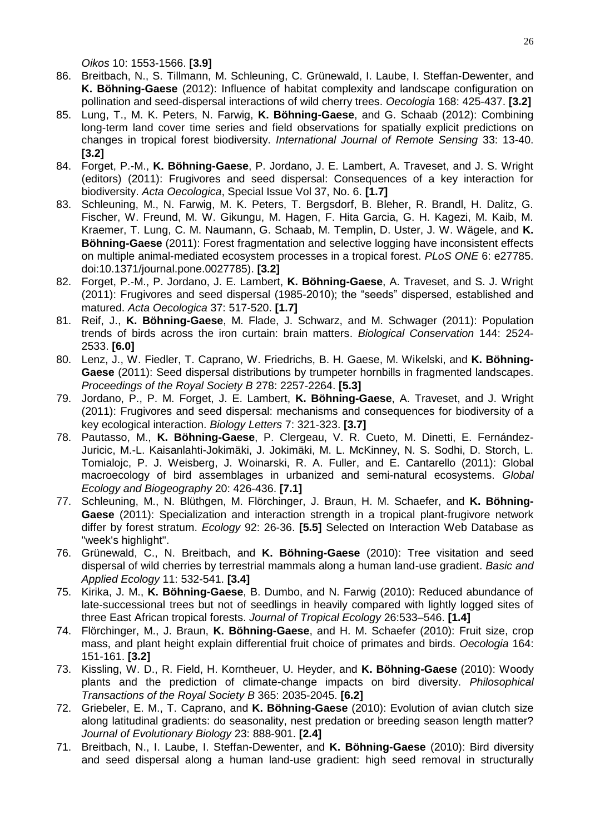*Oikos* 10: 1553-1566. **[3.9]**

- 86. Breitbach, N., S. Tillmann, M. Schleuning, C. Grünewald, I. Laube, I. Steffan-Dewenter, and **K. Böhning-Gaese** (2012): Influence of habitat complexity and landscape configuration on pollination and seed-dispersal interactions of wild cherry trees. *Oecologia* 168: 425-437. **[3.2]**
- 85. Lung, T., M. K. Peters, N. Farwig, **K. Böhning-Gaese**, and G. Schaab (2012): Combining long-term land cover time series and field observations for spatially explicit predictions on changes in tropical forest biodiversity. *International Journal of Remote Sensing* 33: 13-40. **[3.2]**
- 84. Forget, P.-M., **K. Böhning-Gaese**, P. Jordano, J. E. Lambert, A. Traveset, and J. S. Wright (editors) (2011): Frugivores and seed dispersal: Consequences of a key interaction for biodiversity. *Acta Oecologica*, Special Issue Vol 37, No. 6. **[1.7]**
- 83. Schleuning, M., N. Farwig, M. K. Peters, T. Bergsdorf, B. Bleher, R. Brandl, H. Dalitz, G. Fischer, W. Freund, M. W. Gikungu, M. Hagen, F. Hita Garcia, G. H. Kagezi, M. Kaib, M. Kraemer, T. Lung, C. M. Naumann, G. Schaab, M. Templin, D. Uster, J. W. Wägele, and **K. Böhning-Gaese** (2011): Forest fragmentation and selective logging have inconsistent effects on multiple animal-mediated ecosystem processes in a tropical forest. *PLoS ONE* 6: e27785. doi:10.1371/journal.pone.0027785). **[3.2]**
- 82. Forget, P.-M., P. Jordano, J. E. Lambert, **K. Böhning-Gaese**, A. Traveset, and S. J. Wright (2011): Frugivores and seed dispersal (1985-2010); the "seeds" dispersed, established and matured. *Acta Oecologica* 37: 517-520. **[1.7]**
- 81. Reif, J., **K. Böhning-Gaese**, M. Flade, J. Schwarz, and M. Schwager (2011): Population trends of birds across the iron curtain: brain matters. *Biological Conservation* 144: 2524- 2533. **[6.0]**
- 80. Lenz, J., W. Fiedler, T. Caprano, W. Friedrichs, B. H. Gaese, M. Wikelski, and **K. Böhning-Gaese** (2011): Seed dispersal distributions by trumpeter hornbills in fragmented landscapes. *Proceedings of the Royal Society B* 278: 2257-2264. **[5.3]**
- 79. Jordano, P., P. M. Forget, J. E. Lambert, **K. Böhning-Gaese**, A. Traveset, and J. Wright (2011): Frugivores and seed dispersal: mechanisms and consequences for biodiversity of a key ecological interaction. *Biology Letters* 7: 321-323. **[3.7]**
- 78. Pautasso, M., **K. Böhning-Gaese**, P. Clergeau, V. R. Cueto, M. Dinetti, E. Fernández-Juricic, M.-L. Kaisanlahti-Jokimäki, J. Jokimäki, M. L. McKinney, N. S. Sodhi, D. Storch, L. Tomialojc, P. J. Weisberg, J. Woinarski, R. A. Fuller, and E. Cantarello (2011): Global macroecology of bird assemblages in urbanized and semi-natural ecosystems. *Global Ecology and Biogeography* 20: 426-436. **[7.1]**
- 77. Schleuning, M., N. Blüthgen, M. Flörchinger, J. Braun, H. M. Schaefer, and **K. Böhning-Gaese** (2011): Specialization and interaction strength in a tropical plant-frugivore network differ by forest stratum. *Ecology* 92: 26-36. **[5.5]** Selected on Interaction Web Database as "week's highlight".
- 76. Grünewald, C., N. Breitbach, and **K. Böhning-Gaese** (2010): Tree visitation and seed dispersal of wild cherries by terrestrial mammals along a human land-use gradient. *Basic and Applied Ecology* 11: 532-541. **[3.4]**
- 75. Kirika, J. M., **K. Böhning-Gaese**, B. Dumbo, and N. Farwig (2010): Reduced abundance of late-successional trees but not of seedlings in heavily compared with lightly logged sites of three East African tropical forests. *Journal of Tropical Ecology* 26:533–546. **[1.4]**
- 74. Flörchinger, M., J. Braun, **K. Böhning-Gaese**, and H. M. Schaefer (2010): Fruit size, crop mass, and plant height explain differential fruit choice of primates and birds. *Oecologia* 164: 151-161. **[3.2]**
- 73. Kissling, W. D., R. Field, H. Korntheuer, U. Heyder, and **K. Böhning-Gaese** (2010): Woody plants and the prediction of climate-change impacts on bird diversity. *Philosophical Transactions of the Royal Society B* 365: 2035-2045. **[6.2]**
- 72. Griebeler, E. M., T. Caprano, and **K. Böhning-Gaese** (2010): Evolution of avian clutch size along latitudinal gradients: do seasonality, nest predation or breeding season length matter? *Journal of Evolutionary Biology* 23: 888-901. **[2.4]**
- 71. Breitbach, N., I. Laube, I. Steffan-Dewenter, and **K. Böhning-Gaese** (2010): Bird diversity and seed dispersal along a human land-use gradient: high seed removal in structurally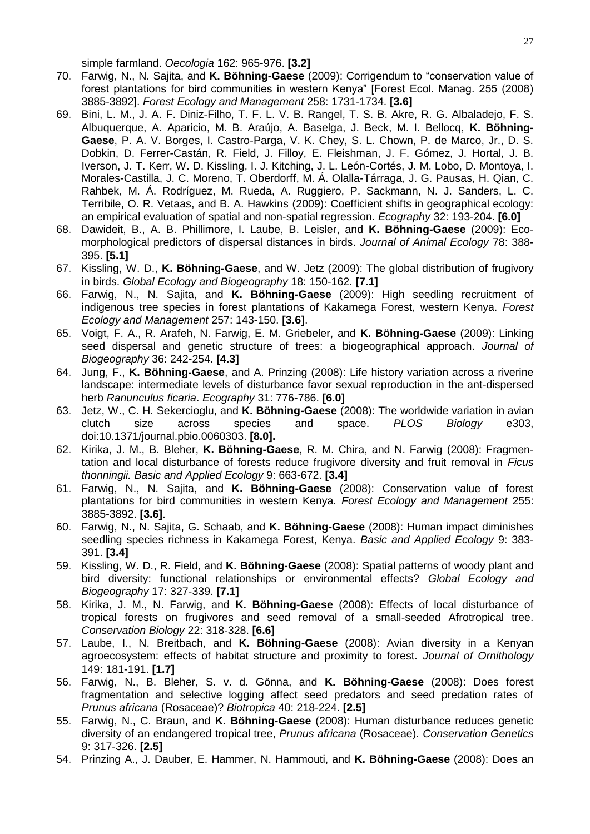simple farmland. *Oecologia* 162: 965-976. **[3.2]**

- 70. Farwig, N., N. Sajita, and **K. Böhning-Gaese** (2009): Corrigendum to "conservation value of forest plantations for bird communities in western Kenya" [Forest Ecol. Manag. 255 (2008) 3885-3892]. *Forest Ecology and Management* 258: 1731-1734. **[3.6]**
- 69. Bini, L. M., J. A. F. Diniz-Filho, T. F. L. V. B. Rangel, T. S. B. Akre, R. G. Albaladejo, F. S. Albuquerque, A. Aparicio, M. B. Araújo, A. Baselga, J. Beck, M. I. Bellocq, **K. Böhning-Gaese**, P. A. V. Borges, I. Castro-Parga, V. K. Chey, S. L. Chown, P. de Marco, Jr., D. S. Dobkin, D. Ferrer-Castán, R. Field, J. Filloy, E. Fleishman, J. F. Gómez, J. Hortal, J. B. Iverson, J. T. Kerr, W. D. Kissling, I. J. Kitching, J. L. León-Cortés, J. M. Lobo, D. Montoya, I. Morales-Castilla, J. C. Moreno, T. Oberdorff, M. Á. Olalla-Tárraga, J. G. Pausas, H. Qian, C. Rahbek, M. Á. Rodríguez, M. Rueda, A. Ruggiero, P. Sackmann, N. J. Sanders, L. C. Terribile, O. R. Vetaas, and B. A. Hawkins (2009): Coefficient shifts in geographical ecology: an empirical evaluation of spatial and non-spatial regression. *Ecography* 32: 193-204. **[6.0]**
- 68. Dawideit, B., A. B. Phillimore, I. Laube, B. Leisler, and **K. Böhning-Gaese** (2009): Ecomorphological predictors of dispersal distances in birds. *Journal of Animal Ecology* 78: 388- 395. **[5.1]**
- 67. Kissling, W. D., **K. Böhning-Gaese**, and W. Jetz (2009): The global distribution of frugivory in birds. *Global Ecology and Biogeography* 18: 150-162. **[7.1]**
- 66. Farwig, N., N. Sajita, and **K. Böhning-Gaese** (2009): High seedling recruitment of indigenous tree species in forest plantations of Kakamega Forest, western Kenya. *Forest Ecology and Management* 257: 143-150. **[3.6]**.
- 65. Voigt, F. A., R. Arafeh, N. Farwig, E. M. Griebeler, and **K. Böhning-Gaese** (2009): Linking seed dispersal and genetic structure of trees: a biogeographical approach. *Journal of Biogeography* 36: 242-254. **[4.3]**
- 64. Jung, F., **K. Böhning-Gaese**, and A. Prinzing (2008): Life history variation across a riverine landscape: intermediate levels of disturbance favor sexual reproduction in the ant-dispersed herb *Ranunculus ficaria*. *Ecography* 31: 776-786. **[6.0]**
- 63. Jetz, W., C. H. Sekercioglu, and **K. Böhning-Gaese** (2008): The worldwide variation in avian clutch size across species and space. *PLOS Biology* e303, [doi:10.1371/journal.pbio.0060303.](http://dx.doi.org/10.1371/journal.pbio.0060303) **[8.0].**
- 62. Kirika, J. M., B. Bleher, **K. Böhning-Gaese**, R. M. Chira, and N. Farwig (2008): Fragmentation and local disturbance of forests reduce frugivore diversity and fruit removal in *Ficus thonningii. Basic and Applied Ecology* 9: 663-672. **[3.4]**
- 61. Farwig, N., N. Sajita, and **K. Böhning-Gaese** (2008): Conservation value of forest plantations for bird communities in western Kenya. *Forest Ecology and Management* 255: 3885-3892. **[3.6]**.
- 60. Farwig, N., N. Sajita, G. Schaab, and **K. Böhning-Gaese** (2008): Human impact diminishes seedling species richness in Kakamega Forest, Kenya. *Basic and Applied Ecology* 9: 383- 391. **[3.4]**
- 59. Kissling, W. D., R. Field, and **K. Böhning-Gaese** (2008): Spatial patterns of woody plant and bird diversity: functional relationships or environmental effects? *Global Ecology and Biogeography* 17: 327-339. **[7.1]**
- 58. Kirika, J. M., N. Farwig, and **K. Böhning-Gaese** (2008): Effects of local disturbance of tropical forests on frugivores and seed removal of a small-seeded Afrotropical tree. *Conservation Biology* 22: 318-328. **[6.6]**
- 57. Laube, I., N. Breitbach, and **K. Böhning-Gaese** (2008): Avian diversity in a Kenyan agroecosystem: effects of habitat structure and proximity to forest. *Journal of Ornithology* 149: 181-191. **[1.7]**
- 56. Farwig, N., B. Bleher, S. v. d. Gönna, and **K. Böhning-Gaese** (2008): Does forest fragmentation and selective logging affect seed predators and seed predation rates of *Prunus africana* (Rosaceae)? *Biotropica* 40: 218-224. **[2.5]**
- 55. Farwig, N., C. Braun, and **K. Böhning-Gaese** (2008): Human disturbance reduces genetic diversity of an endangered tropical tree, *Prunus africana* (Rosaceae). *Conservation Genetics* 9: 317-326. **[2.5]**
- 54. Prinzing A., J. Dauber, E. Hammer, N. Hammouti, and **K. Böhning-Gaese** (2008): Does an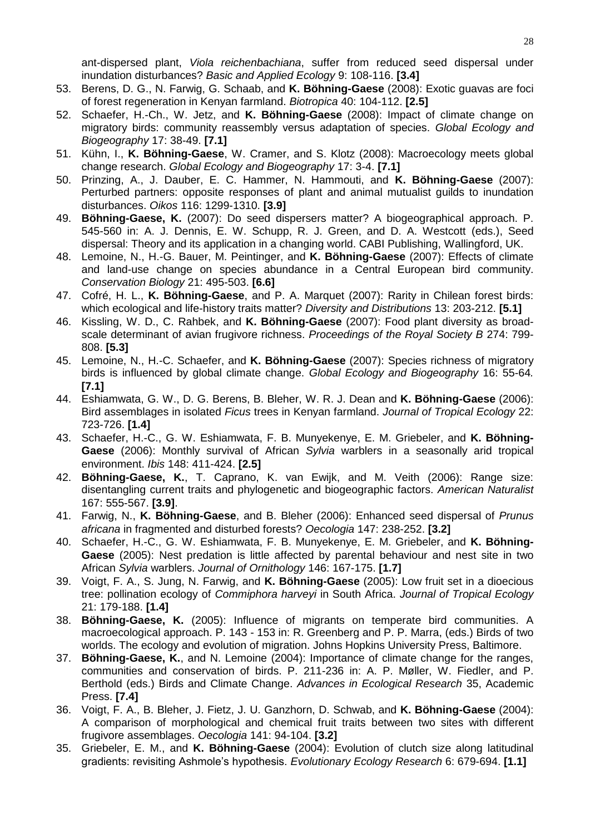ant-dispersed plant, *Viola reichenbachiana*, suffer from reduced seed dispersal under inundation disturbances? *Basic and Applied Ecology* 9: 108-116. **[3.4]**

- 53. Berens, D. G., N. Farwig, G. Schaab, and **K. Böhning-Gaese** (2008): Exotic guavas are foci of forest regeneration in Kenyan farmland. *Biotropica* 40: 104-112. **[2.5]**
- 52. Schaefer, H.-Ch., W. Jetz, and **K. Böhning-Gaese** (2008): Impact of climate change on migratory birds: community reassembly versus adaptation of species. *Global Ecology and Biogeography* 17: 38-49. **[7.1]**
- 51. Kühn, I., **K. Böhning-Gaese**, W. Cramer, and S. Klotz (2008): Macroecology meets global change research. *Global Ecology and Biogeography* 17: 3-4. **[7.1]**
- 50. Prinzing, A., J. Dauber, E. C. Hammer, N. Hammouti, and **K. Böhning-Gaese** (2007): Perturbed partners: opposite responses of plant and animal mutualist guilds to inundation disturbances. *Oikos* 116: 1299-1310. **[3.9]**
- 49. **Böhning-Gaese, K.** (2007): Do seed dispersers matter? A biogeographical approach. P. 545-560 in: A. J. Dennis, E. W. Schupp, R. J. Green, and D. A. Westcott (eds.), Seed dispersal: Theory and its application in a changing world. CABI Publishing, Wallingford, UK.
- 48. Lemoine, N., H.-G. Bauer, M. Peintinger, and **K. Böhning-Gaese** (2007): Effects of climate and land-use change on species abundance in a Central European bird community. *Conservation Biology* 21: 495-503. **[6.6]**
- 47. Cofré, H. L., **K. Böhning-Gaese**, and P. A. Marquet (2007): Rarity in Chilean forest birds: which ecological and life-history traits matter? *Diversity and Distributions* 13: 203-212. **[5.1]**
- 46. Kissling, W. D., C. Rahbek, and **K. Böhning-Gaese** (2007): Food plant diversity as broadscale determinant of avian frugivore richness. *Proceedings of the Royal Society B* 274: 799- 808. **[5.3]**
- 45. Lemoine, N., H.-C. Schaefer, and **K. Böhning-Gaese** (2007): Species richness of migratory birds is influenced by global climate change. *Global Ecology and Biogeography* 16: 55-64*.* **[7.1]**
- 44. Eshiamwata, G. W., D. G. Berens, B. Bleher, W. R. J. Dean and **K. Böhning-Gaese** (2006): Bird assemblages in isolated *Ficus* trees in Kenyan farmland. *Journal of Tropical Ecology* 22: 723-726. **[1.4]**
- 43. Schaefer, H.-C., G. W. Eshiamwata, F. B. Munyekenye, E. M. Griebeler, and **K. Böhning-Gaese** (2006): Monthly survival of African *Sylvia* warblers in a seasonally arid tropical environment. *Ibis* 148: 411-424. **[2.5]**
- 42. **Böhning-Gaese, K.**, T. Caprano, K. van Ewijk, and M. Veith (2006): Range size: disentangling current traits and phylogenetic and biogeographic factors. *American Naturalist*  167: 555-567. **[3.9]**.
- 41. Farwig, N., **K. Böhning-Gaese**, and B. Bleher (2006): Enhanced seed dispersal of *Prunus africana* in fragmented and disturbed forests? *Oecologia* 147: 238-252. **[3.2]**
- 40. Schaefer, H.-C., G. W. Eshiamwata, F. B. Munyekenye, E. M. Griebeler, and **K. Böhning-Gaese** (2005): Nest predation is little affected by parental behaviour and nest site in two African *Sylvia* warblers. *Journal of Ornithology* 146: 167-175. **[1.7]**
- 39. Voigt, F. A., S. Jung, N. Farwig, and **K. Böhning-Gaese** (2005): Low fruit set in a dioecious tree: pollination ecology of *Commiphora harveyi* in South Africa. *Journal of Tropical Ecology*  21: 179-188. **[1.4]**
- 38. **Böhning-Gaese, K.** (2005): Influence of migrants on temperate bird communities. A macroecological approach. P. 143 - 153 in: R. Greenberg and P. P. Marra, (eds.) Birds of two worlds. The ecology and evolution of migration. Johns Hopkins University Press, Baltimore.
- 37. **Böhning-Gaese, K.**, and N. Lemoine (2004): Importance of climate change for the ranges, communities and conservation of birds. P. 211-236 in: A. P. Møller, W. Fiedler, and P. Berthold (eds.) Birds and Climate Change. *Advances in Ecological Research* 35, Academic Press. **[7.4]**
- 36. Voigt, F. A., B. Bleher, J. Fietz, J. U. Ganzhorn, D. Schwab, and **K. Böhning-Gaese** (2004): A comparison of morphological and chemical fruit traits between two sites with different frugivore assemblages. *Oecologia* 141: 94-104. **[3.2]**
- 35. Griebeler, E. M., and **K. Böhning-Gaese** (2004): Evolution of clutch size along latitudinal gradients: revisiting Ashmole's hypothesis. *Evolutionary Ecology Research* 6: 679-694. **[1.1]**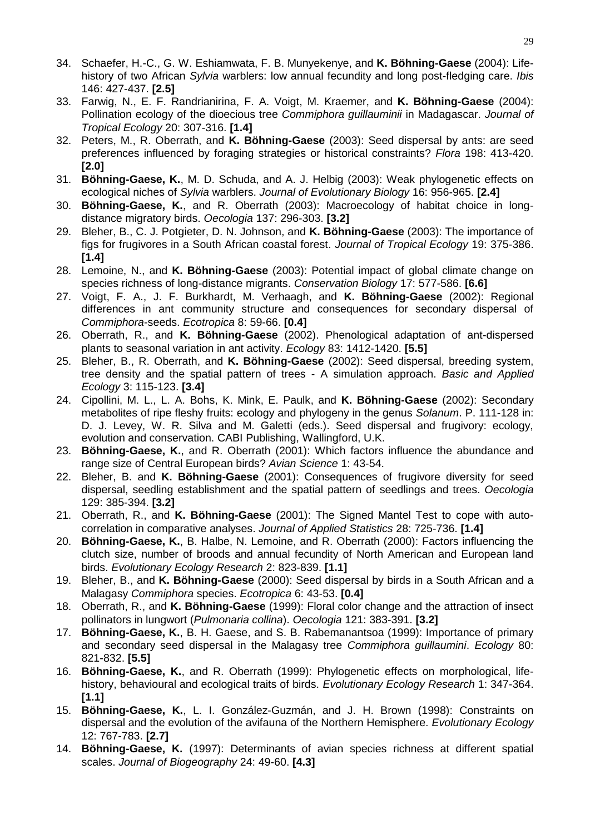- 34. Schaefer, H.-C., G. W. Eshiamwata, F. B. Munyekenye, and **K. Böhning-Gaese** (2004): Lifehistory of two African *Sylvia* warblers: low annual fecundity and long post-fledging care. *Ibis* 146: 427-437. **[2.5]**
- 33. Farwig, N., E. F. Randrianirina, F. A. Voigt, M. Kraemer, and **K. Böhning-Gaese** (2004): Pollination ecology of the dioecious tree *Commiphora guillauminii* in Madagascar. *Journal of Tropical Ecology* 20: 307-316. **[1.4]**
- 32. Peters, M., R. Oberrath, and **K. Böhning-Gaese** (2003): Seed dispersal by ants: are seed preferences influenced by foraging strategies or historical constraints? *Flora* 198: 413-420. **[2.0]**
- 31. **Böhning-Gaese, K.**, M. D. Schuda, and A. J. Helbig (2003): Weak phylogenetic effects on ecological niches of *Sylvia* warblers. *Journal of Evolutionary Biology* 16: 956-965. **[2.4]**
- 30. **Böhning-Gaese, K.**, and R. Oberrath (2003): Macroecology of habitat choice in longdistance migratory birds. *Oecologia* 137: 296-303. **[3.2]**
- 29. Bleher, B., C. J. Potgieter, D. N. Johnson, and **K. Böhning-Gaese** (2003): The importance of figs for frugivores in a South African coastal forest. *Journal of Tropical Ecology* 19: 375-386. **[1.4]**
- 28. Lemoine, N., and **K. Böhning-Gaese** (2003): Potential impact of global climate change on species richness of long-distance migrants. *Conservation Biology* 17: 577-586. **[6.6]**
- 27. Voigt, F. A., J. F. Burkhardt, M. Verhaagh, and **K. Böhning-Gaese** (2002): Regional differences in ant community structure and consequences for secondary dispersal of *Commiphora*-seeds. *Ecotropica* 8: 59-66. **[0.4]**
- 26. Oberrath, R., and **K. Böhning-Gaese** (2002). Phenological adaptation of ant-dispersed plants to seasonal variation in ant activity. *Ecology* 83: 1412-1420. **[5.5]**
- 25. Bleher, B., R. Oberrath, and **K. Böhning-Gaese** (2002): Seed dispersal, breeding system, tree density and the spatial pattern of trees - A simulation approach. *Basic and Applied Ecology* 3: 115-123. **[3.4]**
- 24. Cipollini, M. L., L. A. Bohs, K. Mink, E. Paulk, and **K. Böhning-Gaese** (2002): Secondary metabolites of ripe fleshy fruits: ecology and phylogeny in the genus *Solanum*. P. 111-128 in: D. J. Levey, W. R. Silva and M. Galetti (eds.). Seed dispersal and frugivory: ecology, evolution and conservation. CABI Publishing, Wallingford, U.K.
- 23. **Böhning-Gaese, K.**, and R. Oberrath (2001): Which factors influence the abundance and range size of Central European birds? *Avian Science* 1: 43-54.
- 22. Bleher, B. and **K. Böhning-Gaese** (2001): Consequences of frugivore diversity for seed dispersal, seedling establishment and the spatial pattern of seedlings and trees. *Oecologia* 129: 385-394. **[3.2]**
- 21. Oberrath, R., and **K. Böhning-Gaese** (2001): The Signed Mantel Test to cope with autocorrelation in comparative analyses. *Journal of Applied Statistics* 28: 725-736. **[1.4]**
- 20. **Böhning-Gaese, K.**, B. Halbe, N. Lemoine, and R. Oberrath (2000): Factors influencing the clutch size, number of broods and annual fecundity of North American and European land birds. *Evolutionary Ecology Research* 2: 823-839. **[1.1]**
- 19. Bleher, B., and **K. Böhning-Gaese** (2000): Seed dispersal by birds in a South African and a Malagasy *Commiphora* species. *Ecotropica* 6: 43-53. **[0.4]**
- 18. Oberrath, R., and **K. Böhning-Gaese** (1999): Floral color change and the attraction of insect pollinators in lungwort (*Pulmonaria collina*). *Oecologia* 121: 383-391. **[3.2]**
- 17. **Böhning-Gaese, K.**, B. H. Gaese, and S. B. Rabemanantsoa (1999): Importance of primary and secondary seed dispersal in the Malagasy tree *Commiphora guillaumini*. *Ecology* 80: 821-832. **[5.5]**
- 16. **Böhning-Gaese, K.**, and R. Oberrath (1999): Phylogenetic effects on morphological, lifehistory, behavioural and ecological traits of birds. *Evolutionary Ecology Research* 1: 347-364. **[1.1]**
- 15. **Böhning-Gaese, K.**, L. I. González-Guzmán, and J. H. Brown (1998): Constraints on dispersal and the evolution of the avifauna of the Northern Hemisphere. *Evolutionary Ecology* 12: 767-783. **[2.7]**
- 14. **Böhning-Gaese, K.** (1997): Determinants of avian species richness at different spatial scales. *Journal of Biogeography* 24: 49-60. **[4.3]**